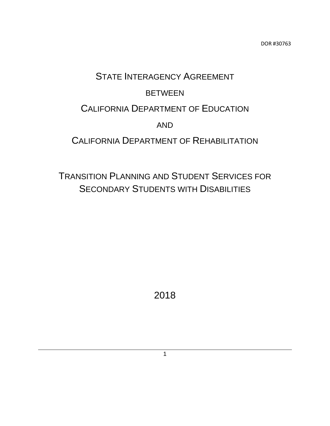# STATE INTERAGENCY AGREEMENT **BETWEEN** CALIFORNIA DEPARTMENT OF EDUCATION AND CALIFORNIA DEPARTMENT OF REHABILITATION

## TRANSITION PLANNING AND STUDENT SERVICES FOR SECONDARY STUDENTS WITH DISABILITIES

2018

1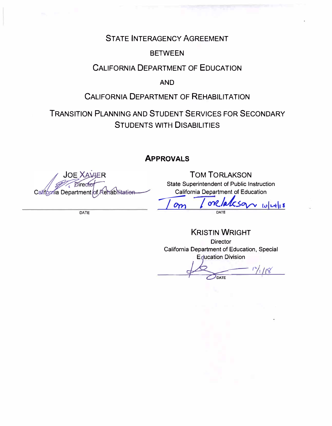### STATE INTERAGENCY AGREEMENT

#### BETWEEN

### CALIFORNIA DEPARTMENT OF EDUCATION

#### **AND**

### CALIFORNIA DEPARTMENT OF REHABILITATION

### TRANSITION PLANNING AND STUDENT SERVICES FOR SECONDARY STUDENTS WITH DISABILITIES

#### **APPROVALS**

**JOE XAVIER** California Department र€habilitatien юf

DATE

TOM TORLAKSON State Superintendent of Public Instruction California Department of Education

 $\sqrt{\frac{m}{\sqrt{C}}\sqrt{\frac{m}{m}}}$ **DATE**

KRISTIN WRIGHT **Director** California Department of Education, Special **Education Division** 

 $1^{\circ}/\sqrt{1/8}$ DATE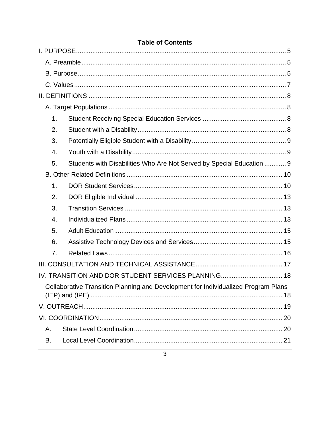| 1.                                                                                 |                                                                       |  |  |  |  |
|------------------------------------------------------------------------------------|-----------------------------------------------------------------------|--|--|--|--|
| 2.                                                                                 |                                                                       |  |  |  |  |
| 3.                                                                                 |                                                                       |  |  |  |  |
| 4.                                                                                 |                                                                       |  |  |  |  |
| 5.                                                                                 | Students with Disabilities Who Are Not Served by Special Education  9 |  |  |  |  |
|                                                                                    |                                                                       |  |  |  |  |
| 1.                                                                                 |                                                                       |  |  |  |  |
| 2.                                                                                 |                                                                       |  |  |  |  |
| 3.                                                                                 |                                                                       |  |  |  |  |
| 4.                                                                                 |                                                                       |  |  |  |  |
| 5.                                                                                 |                                                                       |  |  |  |  |
| 6.                                                                                 |                                                                       |  |  |  |  |
| 7.                                                                                 |                                                                       |  |  |  |  |
|                                                                                    |                                                                       |  |  |  |  |
| IV. TRANSITION AND DOR STUDENT SERVICES PLANNING 18                                |                                                                       |  |  |  |  |
| Collaborative Transition Planning and Development for Individualized Program Plans |                                                                       |  |  |  |  |
|                                                                                    |                                                                       |  |  |  |  |
|                                                                                    |                                                                       |  |  |  |  |
| Α.                                                                                 |                                                                       |  |  |  |  |
| В.                                                                                 |                                                                       |  |  |  |  |

#### **Table of Contents**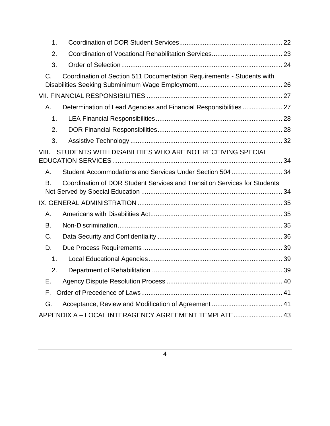| 1.    |                                                                           |  |
|-------|---------------------------------------------------------------------------|--|
| 2.    |                                                                           |  |
| 3.    |                                                                           |  |
| C.    | Coordination of Section 511 Documentation Requirements - Students with    |  |
|       |                                                                           |  |
| Α.    | Determination of Lead Agencies and Financial Responsibilities  27         |  |
| 1.    |                                                                           |  |
| 2.    |                                                                           |  |
| 3.    |                                                                           |  |
| VIII. | STUDENTS WITH DISABILITIES WHO ARE NOT RECEIVING SPECIAL                  |  |
| Α.    | Student Accommodations and Services Under Section 504  34                 |  |
| В.    | Coordination of DOR Student Services and Transition Services for Students |  |
|       |                                                                           |  |
| Α.    |                                                                           |  |
| В.    |                                                                           |  |
| C.    |                                                                           |  |
| D.    |                                                                           |  |
| 1.    |                                                                           |  |
| 2.    |                                                                           |  |
| Е.    |                                                                           |  |
| F.    |                                                                           |  |
| G.    |                                                                           |  |
|       |                                                                           |  |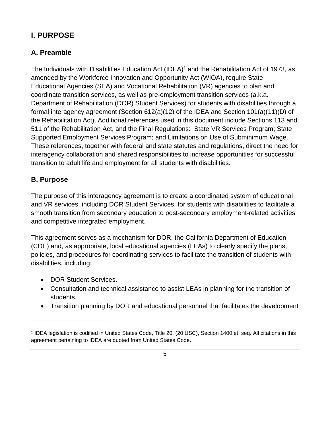### <span id="page-4-2"></span>**I. PURPOSE**

### <span id="page-4-0"></span>**A. Preamble**

The Individuals with Disabilities Education Act (IDEA)<sup>1</sup> and the Rehabilitation Act of 1973, as amended by the Workforce Innovation and Opportunity Act (WIOA), require State Educational Agencies (SEA) and Vocational Rehabilitation (VR) agencies to plan and coordinate transition services, as well as pre-employment transition services (a.k.a. Department of Rehabilitation (DOR) Student Services) for students with disabilities through a formal interagency agreement (Section 612(a)(12) of the IDEA and Section 101(a)(11)(D) of the Rehabilitation Act). Additional references used in this document include Sections 113 and 511 of the Rehabilitation Act, and the Final Regulations: State VR Services Program; State Supported Employment Services Program; and Limitations on Use of Subminimum Wage. These references, together with federal and state statutes and regulations, direct the need for interagency collaboration and shared responsibilities to increase opportunities for successful transition to adult life and employment for all students with disabilities.

### <span id="page-4-1"></span>**B. Purpose**

The purpose of this interagency agreement is to create a coordinated system of educational and VR services, including DOR Student Services, for students with disabilities to facilitate a smooth transition from secondary education to post-secondary employment-related activities and competitive integrated employment.

This agreement serves as a mechanism for DOR, the California Department of Education (CDE) and, as appropriate, local educational agencies (LEAs) to clearly specify the plans, policies, and procedures for coordinating services to facilitate the transition of students with disabilities, including:

- DOR Student Services.
- Consultation and technical assistance to assist LEAs in planning for the transition of students.
- Transition planning by DOR and educational personnel that facilitates the development

<sup>1</sup> IDEA legislation is codified in United States Code, Title 20, (20 USC), Section 1400 et. seq. All citations in this agreement pertaining to IDEA are quoted from United States Code.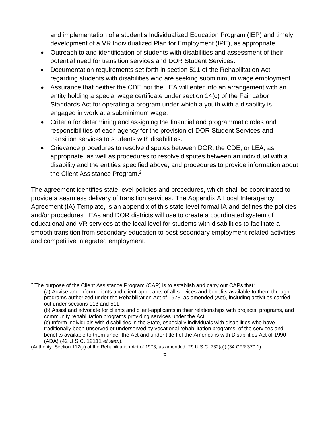and implementation of a student's Individualized Education Program (IEP) and timely development of a VR Individualized Plan for Employment (IPE), as appropriate.

- Outreach to and identification of students with disabilities and assessment of their potential need for transition services and DOR Student Services.
- Documentation requirements set forth in section 511 of the Rehabilitation Act regarding students with disabilities who are seeking subminimum wage employment.
- Assurance that neither the CDE nor the LEA will enter into an arrangement with an entity holding a special wage certificate under section 14(c) of the Fair Labor Standards Act for operating a program under which a youth with a disability is engaged in work at a subminimum wage.
- Criteria for determining and assigning the financial and programmatic roles and responsibilities of each agency for the provision of DOR Student Services and transition services to students with disabilities.
- Grievance procedures to resolve disputes between DOR, the CDE, or LEA, as appropriate, as well as procedures to resolve disputes between an individual with a disability and the entities specified above, and procedures to provide information about the Client Assistance Program.<sup>2</sup>

The agreement identifies state-level policies and procedures, which shall be coordinated to provide a seamless delivery of transition services. The Appendix A Local Interagency Agreement (IA) Template, is an appendix of this state-level formal IA and defines the policies and/or procedures LEAs and DOR districts will use to create a coordinated system of educational and VR services at the local level for students with disabilities to facilitate a smooth transition from secondary education to post-secondary employment-related activities and competitive integrated employment.

 $2$  The purpose of the Client Assistance Program (CAP) is to establish and carry out CAPs that: (a) Advise and inform clients and client-applicants of all services and benefits available to them through programs authorized under the Rehabilitation Act of 1973, as amended (Act), including activities carried out under sections 113 and 511.

<sup>(</sup>b) Assist and advocate for clients and client-applicants in their relationships with projects, programs, and community rehabilitation programs providing services under the Act.

<sup>(</sup>c) Inform individuals with disabilities in the State, especially individuals with disabilities who have traditionally been unserved or underserved by vocational rehabilitation programs, of the services and benefits available to them under the Act and under title I of the Americans with Disabilities Act of 1990 (ADA) (42 U.S.C. 12111 *et seq.*).

<sup>(</sup>Authority: Section 112(a) of the Rehabilitation Act of 1973, as amended; 29 U.S.C. 732(a)) (34 CFR 370.1)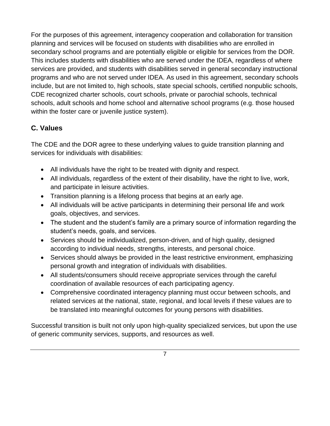For the purposes of this agreement, interagency cooperation and collaboration for transition planning and services will be focused on students with disabilities who are enrolled in secondary school programs and are potentially eligible or eligible for services from the DOR. This includes students with disabilities who are served under the IDEA, regardless of where services are provided, and students with disabilities served in general secondary instructional programs and who are not served under IDEA. As used in this agreement, secondary schools include, but are not limited to, high schools, state special schools, certified nonpublic schools, CDE recognized charter schools, court schools, private or parochial schools, technical schools, adult schools and home school and alternative school programs (e.g. those housed within the foster care or juvenile justice system).

### <span id="page-6-0"></span>**C. Values**

The CDE and the DOR agree to these underlying values to guide transition planning and services for individuals with disabilities:

- All individuals have the right to be treated with dignity and respect.
- All individuals, regardless of the extent of their disability, have the right to live, work, and participate in leisure activities.
- Transition planning is a lifelong process that begins at an early age.
- All individuals will be active participants in determining their personal life and work goals, objectives, and services.
- The student and the student's family are a primary source of information regarding the student's needs, goals, and services.
- Services should be individualized, person-driven, and of high quality, designed according to individual needs, strengths, interests, and personal choice.
- Services should always be provided in the least restrictive environment, emphasizing personal growth and integration of individuals with disabilities.
- All students/consumers should receive appropriate services through the careful coordination of available resources of each participating agency.
- Comprehensive coordinated interagency planning must occur between schools, and related services at the national, state, regional, and local levels if these values are to be translated into meaningful outcomes for young persons with disabilities.

Successful transition is built not only upon high-quality specialized services, but upon the use of generic community services, supports, and resources as well.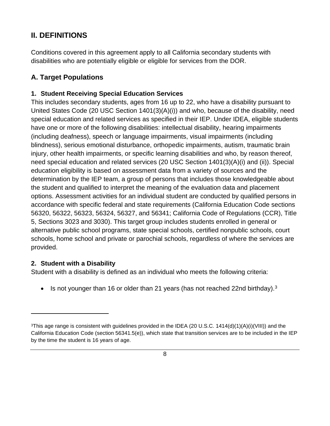### <span id="page-7-0"></span>**II. DEFINITIONS**

Conditions covered in this agreement apply to all California secondary students with disabilities who are potentially eligible or eligible for services from the DOR.

### <span id="page-7-1"></span>**A. Target Populations**

#### <span id="page-7-2"></span>**1. Student Receiving Special Education Services**

This includes secondary students, ages from 16 up to 22, who have a disability pursuant to United States Code (20 USC Section 1401(3)(A)(i)) and who, because of the disability, need special education and related services as specified in their IEP. Under IDEA, eligible students have one or more of the following disabilities: intellectual disability, hearing impairments (including deafness), speech or language impairments, visual impairments (including blindness), serious emotional disturbance, orthopedic impairments, autism, traumatic brain injury, other health impairments, or specific learning disabilities and who, by reason thereof, need special education and related services (20 USC Section 1401(3)(A)(i) and (ii)). Special education eligibility is based on assessment data from a variety of sources and the determination by the IEP team, a group of persons that includes those knowledgeable about the student and qualified to interpret the meaning of the evaluation data and placement options. Assessment activities for an individual student are conducted by qualified persons in accordance with specific federal and state requirements (California Education Code sections 56320, 56322, 56323, 56324, 56327, and 56341; California Code of Regulations (CCR), Title 5, Sections 3023 and 3030). This target group includes students enrolled in general or alternative public school programs, state special schools, certified nonpublic schools, court schools, home school and private or parochial schools, regardless of where the services are provided.

#### <span id="page-7-3"></span>**2. Student with a Disability**

Student with a disability is defined as an individual who meets the following criteria:

• Is not younger than 16 or older than 21 years (has not reached 22nd birthday). $3$ 

 $3$ This age range is consistent with guidelines provided in the IDEA (20 U.S.C. 1414(d)(1)(A)(i)(VIII)) and the California Education Code (section 56341.5(e)), which state that transition services are to be included in the IEP by the time the student is 16 years of age.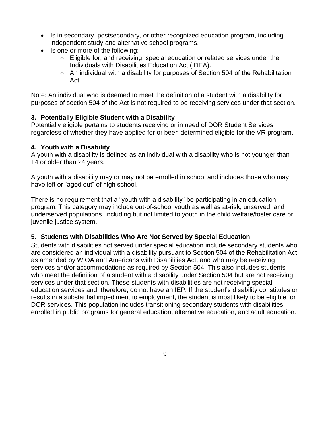- Is in secondary, postsecondary, or other recognized education program, including independent study and alternative school programs.
- Is one or more of the following:
	- $\circ$  Eligible for, and receiving, special education or related services under the Individuals with Disabilities Education Act (IDEA).
	- $\circ$  An individual with a disability for purposes of Section 504 of the Rehabilitation Act.

Note: An individual who is deemed to meet the definition of a student with a disability for purposes of section 504 of the Act is not required to be receiving services under that section.

#### <span id="page-8-0"></span>**3. Potentially Eligible Student with a Disability**

Potentially eligible pertains to students receiving or in need of DOR Student Services regardless of whether they have applied for or been determined eligible for the VR program.

#### <span id="page-8-1"></span>**4. Youth with a Disability**

A youth with a disability is defined as an individual with a disability who is not younger than 14 or older than 24 years.

A youth with a disability may or may not be enrolled in school and includes those who may have left or "aged out" of high school.

There is no requirement that a "youth with a disability" be participating in an education program. This category may include out-of-school youth as well as at-risk, unserved, and underserved populations, including but not limited to youth in the child welfare/foster care or juvenile justice system.

#### <span id="page-8-2"></span>**5. Students with Disabilities Who Are Not Served by Special Education**

Students with disabilities not served under special education include secondary students who are considered an individual with a disability pursuant to Section 504 of the Rehabilitation Act as amended by WIOA and Americans with Disabilities Act, and who may be receiving services and/or accommodations as required by Section 504. This also includes students who meet the definition of a student with a disability under Section 504 but are not receiving services under that section. These students with disabilities are not receiving special education services and, therefore, do not have an IEP. If the student's disability constitutes or results in a substantial impediment to employment, the student is most likely to be eligible for DOR services. This population includes transitioning secondary students with disabilities enrolled in public programs for general education, alternative education, and adult education.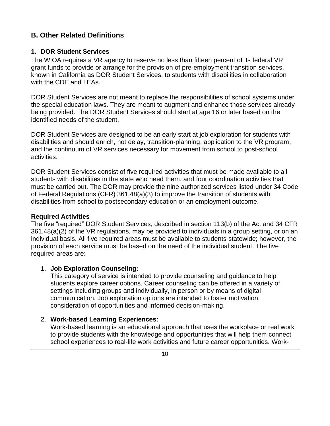#### <span id="page-9-0"></span>**B. Other Related Definitions**

#### <span id="page-9-1"></span>**1. DOR Student Services**

The WIOA requires a VR agency to reserve no less than fifteen percent of its federal VR grant funds to provide or arrange for the provision of pre-employment transition services, known in California as DOR Student Services, to students with disabilities in collaboration with the CDE and LEAs.

DOR Student Services are not meant to replace the responsibilities of school systems under the special education laws. They are meant to augment and enhance those services already being provided. The DOR Student Services should start at age 16 or later based on the identified needs of the student.

DOR Student Services are designed to be an early start at job exploration for students with disabilities and should enrich, not delay, transition-planning, application to the VR program, and the continuum of VR services necessary for movement from school to post-school activities.

DOR Student Services consist of five required activities that must be made available to all students with disabilities in the state who need them, and four coordination activities that must be carried out. The DOR may provide the nine authorized services listed under 34 Code of Federal Regulations (CFR) 361.48(a)(3) to improve the transition of students with disabilities from school to postsecondary education or an employment outcome.

#### **Required Activities**

The five "required" DOR Student Services, described in section 113(b) of the Act and 34 CFR 361.48(a)(2) of the VR regulations, may be provided to individuals in a group setting, or on an individual basis. All five required areas must be available to students statewide; however, the provision of each service must be based on the need of the individual student. The five required areas are:

#### 1. **Job Exploration Counseling:**

This category of service is intended to provide counseling and guidance to help students explore career options. Career counseling can be offered in a variety of settings including groups and individually, in person or by means of digital communication. Job exploration options are intended to foster motivation, consideration of opportunities and informed decision-making.

#### 2. **Work-based Learning Experiences:**

Work-based learning is an educational approach that uses the workplace or real work to provide students with the knowledge and opportunities that will help them connect school experiences to real-life work activities and future career opportunities. Work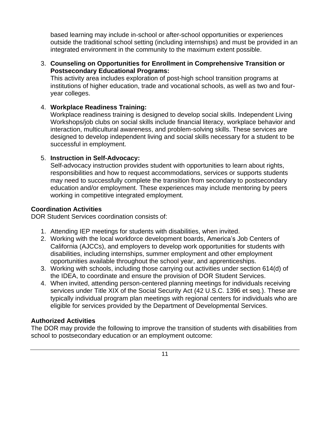based learning may include in-school or after-school opportunities or experiences outside the traditional school setting (including internships) and must be provided in an integrated environment in the community to the maximum extent possible.

#### 3. **Counseling on Opportunities for Enrollment in Comprehensive Transition or Postsecondary Educational Programs:**

This activity area includes exploration of post-high school transition programs at institutions of higher education, trade and vocational schools, as well as two and fouryear colleges.

#### 4. **Workplace Readiness Training:**

Workplace readiness training is designed to develop social skills. Independent Living Workshops/job clubs on social skills include financial literacy, workplace behavior and interaction, multicultural awareness, and problem-solving skills. These services are designed to develop independent living and social skills necessary for a student to be successful in employment.

#### 5. **Instruction in Self-Advocacy:**

Self-advocacy instruction provides student with opportunities to learn about rights, responsibilities and how to request accommodations, services or supports students may need to successfully complete the transition from secondary to postsecondary education and/or employment. These experiences may include mentoring by peers working in competitive integrated employment.

#### **Coordination Activities**

DOR Student Services coordination consists of:

- 1. Attending IEP meetings for students with disabilities, when invited.
- 2. Working with the local workforce development boards, America's Job Centers of California (AJCCs), and employers to develop work opportunities for students with disabilities, including internships, summer employment and other employment opportunities available throughout the school year, and apprenticeships.
- 3. Working with schools, including those carrying out activities under section 614(d) of the IDEA, to coordinate and ensure the provision of DOR Student Services.
- 4. When invited, attending person-centered planning meetings for individuals receiving services under Title XIX of the Social Security Act (42 U.S.C. 1396 et seq.). These are typically individual program plan meetings with regional centers for individuals who are eligible for services provided by the Department of Developmental Services.

#### **Authorized Activities**

The DOR may provide the following to improve the transition of students with disabilities from school to postsecondary education or an employment outcome: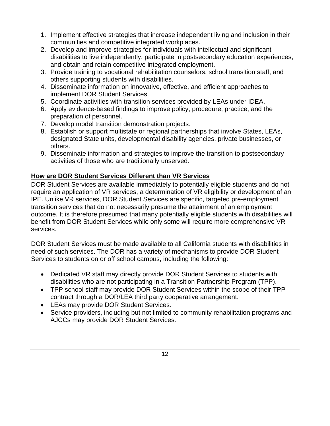- 1. Implement effective strategies that increase independent living and inclusion in their communities and competitive integrated workplaces.
- 2. Develop and improve strategies for individuals with intellectual and significant disabilities to live independently, participate in postsecondary education experiences, and obtain and retain competitive integrated employment.
- 3. Provide training to vocational rehabilitation counselors, school transition staff, and others supporting students with disabilities.
- 4. Disseminate information on innovative, effective, and efficient approaches to implement DOR Student Services.
- 5. Coordinate activities with transition services provided by LEAs under IDEA.
- 6. Apply evidence-based findings to improve policy, procedure, practice, and the preparation of personnel.
- 7. Develop model transition demonstration projects.
- 8. Establish or support multistate or regional partnerships that involve States, LEAs, designated State units, developmental disability agencies, private businesses, or others.
- 9. Disseminate information and strategies to improve the transition to postsecondary activities of those who are traditionally unserved.

#### **How are DOR Student Services Different than VR Services**

DOR Student Services are available immediately to potentially eligible students and do not require an application of VR services, a determination of VR eligibility or development of an IPE. Unlike VR services, DOR Student Services are specific, targeted pre-employment transition services that do not necessarily presume the attainment of an employment outcome. It is therefore presumed that many potentially eligible students with disabilities will benefit from DOR Student Services while only some will require more comprehensive VR services.

DOR Student Services must be made available to all California students with disabilities in need of such services. The DOR has a variety of mechanisms to provide DOR Student Services to students on or off school campus, including the following:

- Dedicated VR staff may directly provide DOR Student Services to students with disabilities who are not participating in a Transition Partnership Program (TPP).
- TPP school staff may provide DOR Student Services within the scope of their TPP contract through a DOR/LEA third party cooperative arrangement.
- LEAs may provide DOR Student Services.
- Service providers, including but not limited to community rehabilitation programs and AJCCs may provide DOR Student Services.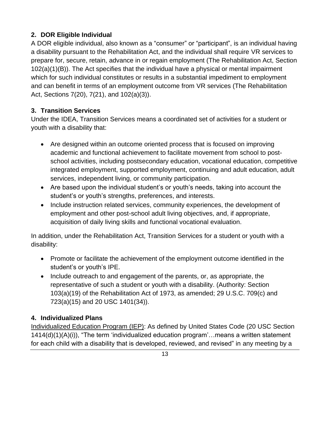#### <span id="page-12-0"></span>**2. DOR Eligible Individual**

A DOR eligible individual, also known as a "consumer" or "participant", is an individual having a disability pursuant to the Rehabilitation Act, and the individual shall require VR services to prepare for, secure, retain, advance in or regain employment (The Rehabilitation Act, Section 102(a)(1)(B)). The Act specifies that the individual have a physical or mental impairment which for such individual constitutes or results in a substantial impediment to employment and can benefit in terms of an employment outcome from VR services (The Rehabilitation Act, Sections 7(20), 7(21), and 102(a)(3)).

#### <span id="page-12-1"></span>**3. Transition Services**

Under the IDEA, Transition Services means a coordinated set of activities for a student or youth with a disability that:

- Are designed within an outcome oriented process that is focused on improving academic and functional achievement to facilitate movement from school to postschool activities, including postsecondary education, vocational education, competitive integrated employment, supported employment, continuing and adult education, adult services, independent living, or community participation.
- Are based upon the individual student's or youth's needs, taking into account the student's or youth's strengths, preferences, and interests.
- Include instruction related services, community experiences, the development of employment and other post-school adult living objectives, and, if appropriate, acquisition of daily living skills and functional vocational evaluation.

In addition, under the Rehabilitation Act, Transition Services for a student or youth with a disability:

- Promote or facilitate the achievement of the employment outcome identified in the student's or youth's IPE.
- Include outreach to and engagement of the parents, or, as appropriate, the representative of such a student or youth with a disability. (Authority: Section 103(a)(19) of the Rehabilitation Act of 1973, as amended; 29 U.S.C. 709(c) and 723(a)(15) and 20 USC 1401(34)).

#### <span id="page-12-2"></span>**4. Individualized Plans**

Individualized Education Program (IEP): As defined by United States Code (20 USC Section 1414(d)(1)(A)(i)), "The term 'individualized education program'…means a written statement for each child with a disability that is developed, reviewed, and revised" in any meeting by a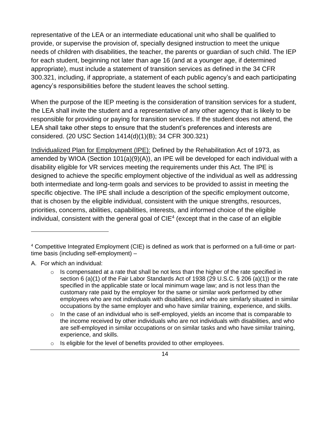representative of the LEA or an intermediate educational unit who shall be qualified to provide, or supervise the provision of, specially designed instruction to meet the unique needs of children with disabilities, the teacher, the parents or guardian of such child. The IEP for each student, beginning not later than age 16 (and at a younger age, if determined appropriate), must include a statement of transition services as defined in the 34 CFR 300.321, including, if appropriate, a statement of each public agency's and each participating agency's responsibilities before the student leaves the school setting.

When the purpose of the IEP meeting is the consideration of transition services for a student, the LEA shall invite the student and a representative of any other agency that is likely to be responsible for providing or paying for transition services. If the student does not attend, the LEA shall take other steps to ensure that the student's preferences and interests are considered. (20 USC Section 1414(d)(1)(B); 34 CFR 300.321)

Individualized Plan for Employment (IPE): Defined by the Rehabilitation Act of 1973, as amended by WIOA (Section 101(a)(9)(A)), an IPE will be developed for each individual with a disability eligible for VR services meeting the requirements under this Act. The IPE is designed to achieve the specific employment objective of the individual as well as addressing both intermediate and long-term goals and services to be provided to assist in meeting the specific objective. The IPE shall include a description of the specific employment outcome, that is chosen by the eligible individual, consistent with the unique strengths, resources, priorities, concerns, abilities, capabilities, interests, and informed choice of the eligible individual, consistent with the general goal of  $CIE<sup>4</sup>$  (except that in the case of an eligible

- A. For which an individual:
	- o Is compensated at a rate that shall be not less than the higher of the rate specified in section 6 (a)(1) of the Fair Labor Standards Act of 1938 (29 U.S.C. § 206 (a)(1)) or the rate specified in the applicable state or local minimum wage law; and is not less than the customary rate paid by the employer for the same or similar work performed by other employees who are not individuals with disabilities, and who are similarly situated in similar occupations by the same employer and who have similar training, experience, and skills.
	- o In the case of an individual who is self-employed, yields an income that is comparable to the income received by other individuals who are not individuals with disabilities, and who are self-employed in similar occupations or on similar tasks and who have similar training, experience, and skills.
	- o Is eligible for the level of benefits provided to other employees.

<sup>4</sup> Competitive Integrated Employment (CIE) is defined as work that is performed on a full-time or parttime basis (including self-employment) –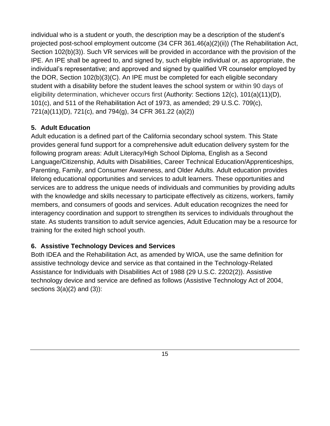individual who is a student or youth, the description may be a description of the student's projected post-school employment outcome (34 CFR 361.46(a)(2)(ii)) (The Rehabilitation Act, Section 102(b)(3)). Such VR services will be provided in accordance with the provision of the IPE. An IPE shall be agreed to, and signed by, such eligible individual or, as appropriate, the individual's representative; and approved and signed by qualified VR counselor employed by the DOR, Section 102(b)(3)(C). An IPE must be completed for each eligible secondary student with a disability before the student leaves the school system or within 90 days of eligibility determination, whichever occurs first (Authority: Sections 12(c), 101(a)(11)(D), 101(c), and 511 of the Rehabilitation Act of 1973, as amended; 29 U.S.C. 709(c), 721(a)(11)(D), 721(c), and 794(g), 34 CFR 361.22 (a)(2))

#### <span id="page-14-0"></span>**5. Adult Education**

Adult education is a defined part of the California secondary school system. This State provides general fund support for a comprehensive adult education delivery system for the following program areas: Adult Literacy/High School Diploma, English as a Second Language/Citizenship, Adults with Disabilities, Career Technical Education/Apprenticeships, Parenting, Family, and Consumer Awareness, and Older Adults. Adult education provides lifelong educational opportunities and services to adult learners. These opportunities and services are to address the unique needs of individuals and communities by providing adults with the knowledge and skills necessary to participate effectively as citizens, workers, family members, and consumers of goods and services. Adult education recognizes the need for interagency coordination and support to strengthen its services to individuals throughout the state. As students transition to adult service agencies, Adult Education may be a resource for training for the exited high school youth.

#### <span id="page-14-1"></span>**6. Assistive Technology Devices and Services**

Both IDEA and the Rehabilitation Act, as amended by WIOA, use the same definition for assistive technology device and service as that contained in the Technology-Related Assistance for Individuals with Disabilities Act of 1988 (29 U.S.C. 2202(2)). Assistive technology device and service are defined as follows (Assistive Technology Act of 2004, sections  $3(a)(2)$  and  $(3)$ :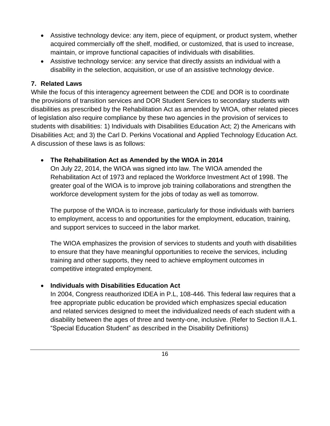- Assistive technology device: any item, piece of equipment, or product system, whether acquired commercially off the shelf, modified, or customized, that is used to increase, maintain, or improve functional capacities of individuals with disabilities.
- Assistive technology service: any service that directly assists an individual with a disability in the selection, acquisition, or use of an assistive technology device.

#### <span id="page-15-0"></span>**7. Related Laws**

While the focus of this interagency agreement between the CDE and DOR is to coordinate the provisions of transition services and DOR Student Services to secondary students with disabilities as prescribed by the Rehabilitation Act as amended by WIOA, other related pieces of legislation also require compliance by these two agencies in the provision of services to students with disabilities: 1) Individuals with Disabilities Education Act; 2) the Americans with Disabilities Act; and 3) the Carl D. Perkins Vocational and Applied Technology Education Act. A discussion of these laws is as follows:

#### • **The Rehabilitation Act as Amended by the WIOA in 2014**

On July 22, 2014, the WIOA was signed into law. The WIOA amended the Rehabilitation Act of 1973 and replaced the Workforce Investment Act of 1998. The greater goal of the WIOA is to improve job training collaborations and strengthen the workforce development system for the jobs of today as well as tomorrow.

The purpose of the WIOA is to increase, particularly for those individuals with barriers to employment, access to and opportunities for the employment, education, training, and support services to succeed in the labor market.

The WIOA emphasizes the provision of services to students and youth with disabilities to ensure that they have meaningful opportunities to receive the services, including training and other supports, they need to achieve employment outcomes in competitive integrated employment.

#### • **Individuals with Disabilities Education Act**

In 2004, Congress reauthorized IDEA in P.L, 108-446. This federal law requires that a free appropriate public education be provided which emphasizes special education and related services designed to meet the individualized needs of each student with a disability between the ages of three and twenty-one, inclusive. (Refer to Section II.A.1. "Special Education Student" as described in the Disability Definitions)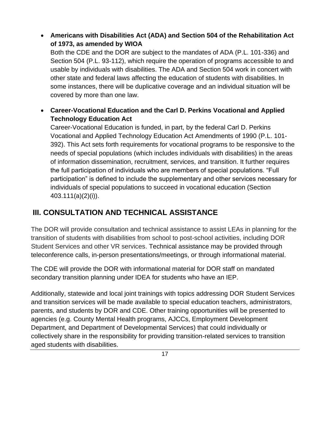• **Americans with Disabilities Act (ADA) and Section 504 of the Rehabilitation Act of 1973, as amended by WIOA**

Both the CDE and the DOR are subject to the mandates of ADA (P.L. 101-336) and Section 504 (P.L. 93-112), which require the operation of programs accessible to and usable by individuals with disabilities. The ADA and Section 504 work in concert with other state and federal laws affecting the education of students with disabilities. In some instances, there will be duplicative coverage and an individual situation will be covered by more than one law.

• **Career-Vocational Education and the Carl D. Perkins Vocational and Applied Technology Education Act**

Career-Vocational Education is funded, in part, by the federal Carl D. Perkins Vocational and Applied Technology Education Act Amendments of 1990 (P.L. 101- 392). This Act sets forth requirements for vocational programs to be responsive to the needs of special populations (which includes individuals with disabilities) in the areas of information dissemination, recruitment, services, and transition. It further requires the full participation of individuals who are members of special populations. "Full participation" is defined to include the supplementary and other services necessary for individuals of special populations to succeed in vocational education (Section 403.111(a)(2)(i)).

### <span id="page-16-0"></span>**III. CONSULTATION AND TECHNICAL ASSISTANCE**

The DOR will provide consultation and technical assistance to assist LEAs in planning for the transition of students with disabilities from school to post-school activities, including DOR Student Services and other VR services. Technical assistance may be provided through teleconference calls, in-person presentations/meetings, or through informational material.

The CDE will provide the DOR with informational material for DOR staff on mandated secondary transition planning under IDEA for students who have an IEP.

Additionally, statewide and local joint trainings with topics addressing DOR Student Services and transition services will be made available to special education teachers, administrators, parents, and students by DOR and CDE. Other training opportunities will be presented to agencies (e.g. County Mental Health programs, AJCCs, Employment Development Department, and Department of Developmental Services) that could individually or collectively share in the responsibility for providing transition-related services to transition aged students with disabilities.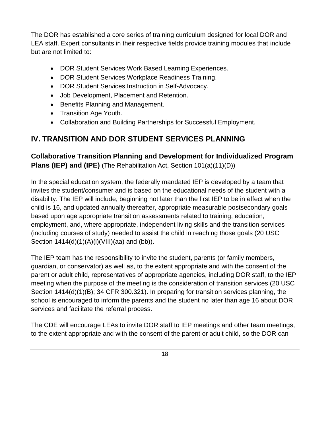<span id="page-17-1"></span>The DOR has established a core series of training curriculum designed for local DOR and LEA staff. Expert consultants in their respective fields provide training modules that include but are not limited to:

- DOR Student Services Work Based Learning Experiences.
- DOR Student Services Workplace Readiness Training.
- DOR Student Services Instruction in Self-Advocacy.
- Job Development, Placement and Retention.
- Benefits Planning and Management.
- Transition Age Youth.
- Collaboration and Building Partnerships for Successful Employment.

### <span id="page-17-0"></span>**IV. TRANSITION AND DOR STUDENT SERVICES PLANNING**

### **Collaborative Transition Planning and Development for Individualized Program Plans (IEP) and (IPE)** (The Rehabilitation Act, Section 101(a)(11)(D))

In the special education system, the federally mandated IEP is developed by a team that invites the student/consumer and is based on the educational needs of the student with a disability. The IEP will include, beginning not later than the first IEP to be in effect when the child is 16, and updated annually thereafter, appropriate measurable postsecondary goals based upon age appropriate transition assessments related to training, education, employment, and, where appropriate, independent living skills and the transition services (including courses of study) needed to assist the child in reaching those goals (20 USC Section 1414(d)(1)(A)(i)(VIII)(aa) and (bb)).

The IEP team has the responsibility to invite the student, parents (or family members, guardian, or conservator) as well as, to the extent appropriate and with the consent of the parent or adult child, representatives of appropriate agencies, including DOR staff, to the IEP meeting when the purpose of the meeting is the consideration of transition services (20 USC Section 1414(d)(1)(B); 34 CFR 300.321). In preparing for transition services planning, the school is encouraged to inform the parents and the student no later than age 16 about DOR services and facilitate the referral process.

The CDE will encourage LEAs to invite DOR staff to IEP meetings and other team meetings, to the extent appropriate and with the consent of the parent or adult child, so the DOR can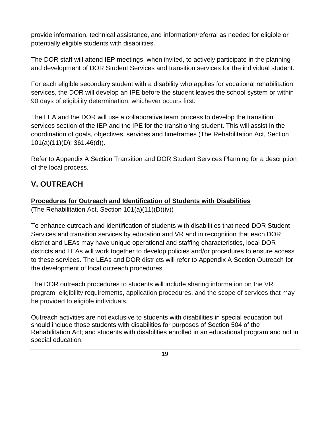provide information, technical assistance, and information/referral as needed for eligible or potentially eligible students with disabilities.

The DOR staff will attend IEP meetings, when invited, to actively participate in the planning and development of DOR Student Services and transition services for the individual student.

For each eligible secondary student with a disability who applies for vocational rehabilitation services, the DOR will develop an IPE before the student leaves the school system or within 90 days of eligibility determination, whichever occurs first.

The LEA and the DOR will use a collaborative team process to develop the transition services section of the IEP and the IPE for the transitioning student. This will assist in the coordination of goals, objectives, services and timeframes (The Rehabilitation Act, Section 101(a)(11)(D); 361.46(d)).

Refer to Appendix A Section Transition and DOR Student Services Planning for a description of the local process.

### <span id="page-18-0"></span>**V. OUTREACH**

#### **Procedures for Outreach and Identification of Students with Disabilities**

(The Rehabilitation Act, Section 101(a)(11)(D)(iv))

To enhance outreach and identification of students with disabilities that need DOR Student Services and transition services by education and VR and in recognition that each DOR district and LEAs may have unique operational and staffing characteristics, local DOR districts and LEAs will work together to develop policies and/or procedures to ensure access to these services. The LEAs and DOR districts will refer to Appendix A Section Outreach for the development of local outreach procedures.

The DOR outreach procedures to students will include sharing information on the VR program, eligibility requirements, application procedures, and the scope of services that may be provided to eligible individuals.

Outreach activities are not exclusive to students with disabilities in special education but should include those students with disabilities for purposes of Section 504 of the Rehabilitation Act; and students with disabilities enrolled in an educational program and not in special education.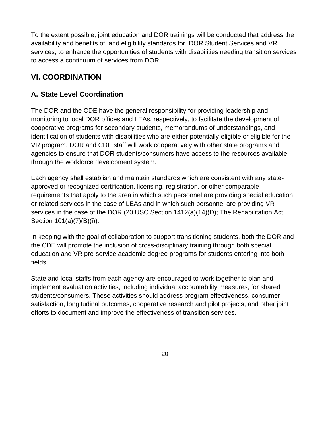To the extent possible, joint education and DOR trainings will be conducted that address the availability and benefits of, and eligibility standards for, DOR Student Services and VR services, to enhance the opportunities of students with disabilities needing transition services to access a continuum of services from DOR.

### <span id="page-19-0"></span>**VI. COORDINATION**

### <span id="page-19-1"></span>**A. State Level Coordination**

The DOR and the CDE have the general responsibility for providing leadership and monitoring to local DOR offices and LEAs, respectively, to facilitate the development of cooperative programs for secondary students, memorandums of understandings, and identification of students with disabilities who are either potentially eligible or eligible for the VR program. DOR and CDE staff will work cooperatively with other state programs and agencies to ensure that DOR students/consumers have access to the resources available through the workforce development system.

Each agency shall establish and maintain standards which are consistent with any stateapproved or recognized certification, licensing, registration, or other comparable requirements that apply to the area in which such personnel are providing special education or related services in the case of LEAs and in which such personnel are providing VR services in the case of the DOR (20 USC Section 1412(a)(14)(D); The Rehabilitation Act, Section 101(a)(7)(B)(i)).

In keeping with the goal of collaboration to support transitioning students, both the DOR and the CDE will promote the inclusion of cross-disciplinary training through both special education and VR pre-service academic degree programs for students entering into both fields.

State and local staffs from each agency are encouraged to work together to plan and implement evaluation activities, including individual accountability measures, for shared students/consumers. These activities should address program effectiveness, consumer satisfaction, longitudinal outcomes, cooperative research and pilot projects, and other joint efforts to document and improve the effectiveness of transition services.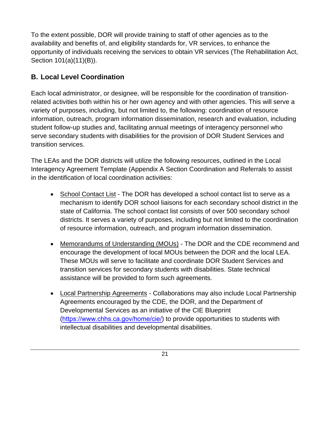To the extent possible, DOR will provide training to staff of other agencies as to the availability and benefits of, and eligibility standards for, VR services, to enhance the opportunity of individuals receiving the services to obtain VR services (The Rehabilitation Act, Section 101(a)(11)(B)).

### <span id="page-20-0"></span>**B. Local Level Coordination**

Each local administrator, or designee, will be responsible for the coordination of transitionrelated activities both within his or her own agency and with other agencies. This will serve a variety of purposes, including, but not limited to, the following: coordination of resource information, outreach, program information dissemination, research and evaluation, including student follow-up studies and, facilitating annual meetings of interagency personnel who serve secondary students with disabilities for the provision of DOR Student Services and transition services.

The LEAs and the DOR districts will utilize the following resources, outlined in the Local Interagency Agreement Template (Appendix A Section Coordination and Referrals to assist in the identification of local coordination activities:

- School Contact List The DOR has developed a school contact list to serve as a mechanism to identify DOR school liaisons for each secondary school district in the state of California. The school contact list consists of over 500 secondary school districts. It serves a variety of purposes, including but not limited to the coordination of resource information, outreach, and program information dissemination.
- Memorandums of Understanding (MOUs) The DOR and the CDE recommend and encourage the development of local MOUs between the DOR and the local LEA. These MOUs will serve to facilitate and coordinate DOR Student Services and transition services for secondary students with disabilities. State technical assistance will be provided to form such agreements.
- Local Partnership Agreements Collaborations may also include Local Partnership Agreements encouraged by the CDE, the DOR, and the Department of Developmental Services as an initiative of the CIE Blueprint (<https://www.chhs.ca.gov/home/cie/>) to provide opportunities to students with intellectual disabilities and developmental disabilities.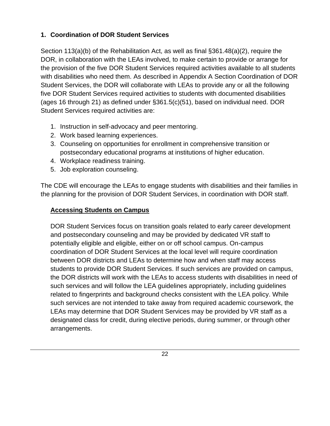### <span id="page-21-0"></span>**1. Coordination of DOR Student Services**

Section 113(a)(b) of the Rehabilitation Act, as well as final §361.48(a)(2), require the DOR, in collaboration with the LEAs involved, to make certain to provide or arrange for the provision of the five DOR Student Services required activities available to all students with disabilities who need them. As described in Appendix A Section Coordination of DOR Student Services, the DOR will collaborate with LEAs to provide any or all the following five DOR Student Services required activities to students with documented disabilities (ages 16 through 21) as defined under §361.5(c)(51), based on individual need. DOR Student Services required activities are:

- 1. Instruction in self-advocacy and peer mentoring.
- 2. Work based learning experiences.
- 3. Counseling on opportunities for enrollment in comprehensive transition or postsecondary educational programs at institutions of higher education.
- 4. Workplace readiness training.
- 5. Job exploration counseling.

The CDE will encourage the LEAs to engage students with disabilities and their families in the planning for the provision of DOR Student Services, in coordination with DOR staff.

#### **Accessing Students on Campus**

DOR Student Services focus on transition goals related to early career development and postsecondary counseling and may be provided by dedicated VR staff to potentially eligible and eligible, either on or off school campus. On-campus coordination of DOR Student Services at the local level will require coordination between DOR districts and LEAs to determine how and when staff may access students to provide DOR Student Services. If such services are provided on campus, the DOR districts will work with the LEAs to access students with disabilities in need of such services and will follow the LEA guidelines appropriately, including guidelines related to fingerprints and background checks consistent with the LEA policy. While such services are not intended to take away from required academic coursework, the LEAs may determine that DOR Student Services may be provided by VR staff as a designated class for credit, during elective periods, during summer, or through other arrangements.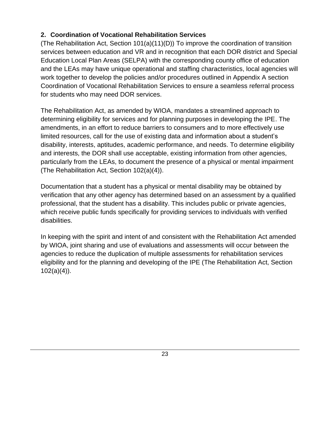#### <span id="page-22-0"></span>**2. Coordination of Vocational Rehabilitation Services**

(The Rehabilitation Act, Section  $101(a)(11)(D)$ ) To improve the coordination of transition services between education and VR and in recognition that each DOR district and Special Education Local Plan Areas (SELPA) with the corresponding county office of education and the LEAs may have unique operational and staffing characteristics, local agencies will work together to develop the policies and/or procedures outlined in Appendix A section Coordination of Vocational Rehabilitation Services to ensure a seamless referral process for students who may need DOR services.

The Rehabilitation Act, as amended by WIOA, mandates a streamlined approach to determining eligibility for services and for planning purposes in developing the IPE. The amendments, in an effort to reduce barriers to consumers and to more effectively use limited resources, call for the use of existing data and information about a student's disability, interests, aptitudes, academic performance, and needs. To determine eligibility and interests, the DOR shall use acceptable, existing information from other agencies, particularly from the LEAs, to document the presence of a physical or mental impairment (The Rehabilitation Act, Section 102(a)(4)).

Documentation that a student has a physical or mental disability may be obtained by verification that any other agency has determined based on an assessment by a qualified professional, that the student has a disability. This includes public or private agencies, which receive public funds specifically for providing services to individuals with verified disabilities.

In keeping with the spirit and intent of and consistent with the Rehabilitation Act amended by WIOA, joint sharing and use of evaluations and assessments will occur between the agencies to reduce the duplication of multiple assessments for rehabilitation services eligibility and for the planning and developing of the IPE (The Rehabilitation Act, Section  $102(a)(4)$ ).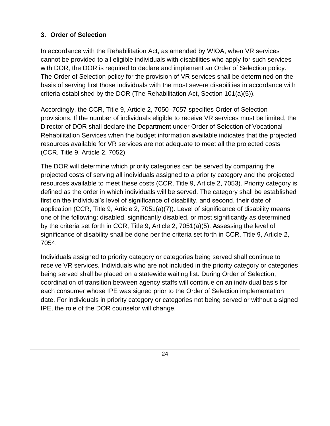#### <span id="page-23-0"></span>**3. Order of Selection**

In accordance with the Rehabilitation Act, as amended by WIOA, when VR services cannot be provided to all eligible individuals with disabilities who apply for such services with DOR, the DOR is required to declare and implement an Order of Selection policy. The Order of Selection policy for the provision of VR services shall be determined on the basis of serving first those individuals with the most severe disabilities in accordance with criteria established by the DOR (The Rehabilitation Act, Section 101(a)(5)).

Accordingly, the CCR, Title 9, Article 2, 7050–7057 specifies Order of Selection provisions. If the number of individuals eligible to receive VR services must be limited, the Director of DOR shall declare the Department under Order of Selection of Vocational Rehabilitation Services when the budget information available indicates that the projected resources available for VR services are not adequate to meet all the projected costs (CCR, Title 9, Article 2, 7052).

The DOR will determine which priority categories can be served by comparing the projected costs of serving all individuals assigned to a priority category and the projected resources available to meet these costs (CCR, Title 9, Article 2, 7053). Priority category is defined as the order in which individuals will be served. The category shall be established first on the individual's level of significance of disability, and second, their date of application (CCR, Title 9, Article 2, 7051(a)(7)). Level of significance of disability means one of the following: disabled, significantly disabled, or most significantly as determined by the criteria set forth in CCR, Title 9, Article 2, 7051(a)(5). Assessing the level of significance of disability shall be done per the criteria set forth in CCR, Title 9, Article 2, 7054.

Individuals assigned to priority category or categories being served shall continue to receive VR services. Individuals who are not included in the priority category or categories being served shall be placed on a statewide waiting list. During Order of Selection, coordination of transition between agency staffs will continue on an individual basis for each consumer whose IPE was signed prior to the Order of Selection implementation date. For individuals in priority category or categories not being served or without a signed IPE, the role of the DOR counselor will change.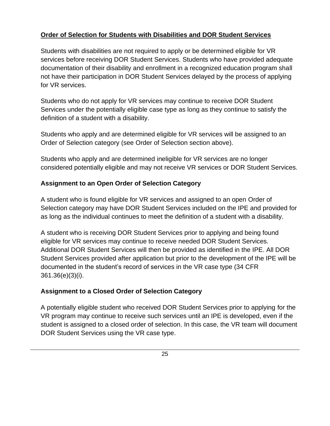#### **Order of Selection for Students with Disabilities and DOR Student Services**

Students with disabilities are not required to apply or be determined eligible for VR services before receiving DOR Student Services. Students who have provided adequate documentation of their disability and enrollment in a recognized education program shall not have their participation in DOR Student Services delayed by the process of applying for VR services.

Students who do not apply for VR services may continue to receive DOR Student Services under the potentially eligible case type as long as they continue to satisfy the definition of a student with a disability.

Students who apply and are determined eligible for VR services will be assigned to an Order of Selection category (see Order of Selection section above).

Students who apply and are determined ineligible for VR services are no longer considered potentially eligible and may not receive VR services or DOR Student Services.

#### **Assignment to an Open Order of Selection Category**

A student who is found eligible for VR services and assigned to an open Order of Selection category may have DOR Student Services included on the IPE and provided for as long as the individual continues to meet the definition of a student with a disability.

A student who is receiving DOR Student Services prior to applying and being found eligible for VR services may continue to receive needed DOR Student Services. Additional DOR Student Services will then be provided as identified in the IPE. All DOR Student Services provided after application but prior to the development of the IPE will be documented in the student's record of services in the VR case type (34 CFR 361.36(e)(3)(i).

### **Assignment to a Closed Order of Selection Category**

A potentially eligible student who received DOR Student Services prior to applying for the VR program may continue to receive such services until an IPE is developed, even if the student is assigned to a closed order of selection. In this case, the VR team will document DOR Student Services using the VR case type.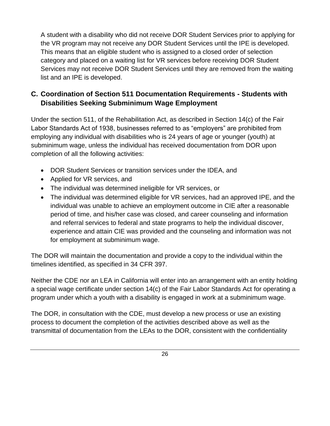<span id="page-25-0"></span>A student with a disability who did not receive DOR Student Services prior to applying for the VR program may not receive any DOR Student Services until the IPE is developed. This means that an eligible student who is assigned to a closed order of selection category and placed on a waiting list for VR services before receiving DOR Student Services may not receive DOR Student Services until they are removed from the waiting list and an IPE is developed.

### **C. Coordination of Section 511 Documentation Requirements - Students with Disabilities Seeking Subminimum Wage Employment**

Under the section 511, of the Rehabilitation Act, as described in Section 14(c) of the Fair Labor Standards Act of 1938, businesses referred to as "employers" are prohibited from employing any individual with disabilities who is 24 years of age or younger (youth) at subminimum wage, unless the individual has received documentation from DOR upon completion of all the following activities:

- DOR Student Services or transition services under the IDEA, and
- Applied for VR services, and
- The individual was determined ineligible for VR services, or
- The individual was determined eligible for VR services, had an approved IPE, and the individual was unable to achieve an employment outcome in CIE after a reasonable period of time, and his/her case was closed, and career counseling and information and referral services to federal and state programs to help the individual discover, experience and attain CIE was provided and the counseling and information was not for employment at subminimum wage.

The DOR will maintain the documentation and provide a copy to the individual within the timelines identified, as specified in 34 CFR 397.

Neither the CDE nor an LEA in California will enter into an arrangement with an entity holding a special wage certificate under section 14(c) of the Fair Labor Standards Act for operating a program under which a youth with a disability is engaged in work at a subminimum wage.

The DOR, in consultation with the CDE, must develop a new process or use an existing process to document the completion of the activities described above as well as the transmittal of documentation from the LEAs to the DOR, consistent with the confidentiality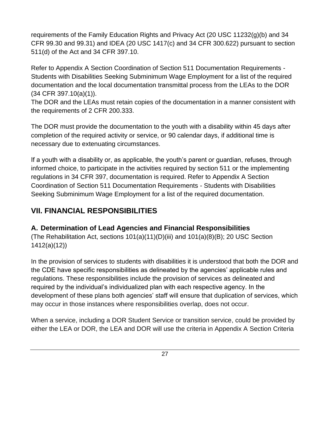requirements of the Family Education Rights and Privacy Act (20 USC 11232(g)(b) and 34 CFR 99.30 and 99.31) and IDEA (20 USC 1417(c) and 34 CFR 300.622) pursuant to section 511(d) of the Act and 34 CFR 397.10.

Refer to Appendix A Section Coordination of Section 511 Documentation Requirements - Students with Disabilities Seeking Subminimum Wage Employment for a list of the required documentation and the local documentation transmittal process from the LEAs to the DOR (34 CFR 397.10(a)(1)).

The DOR and the LEAs must retain copies of the documentation in a manner consistent with the requirements of 2 CFR 200.333.

The DOR must provide the documentation to the youth with a disability within 45 days after completion of the required activity or service, or 90 calendar days, if additional time is necessary due to extenuating circumstances.

If a youth with a disability or, as applicable, the youth's parent or guardian, refuses, through informed choice, to participate in the activities required by section 511 or the implementing regulations in 34 CFR 397, documentation is required. Refer to Appendix A Section Coordination of Section 511 Documentation Requirements - Students with Disabilities Seeking Subminimum Wage Employment for a list of the required documentation.

### <span id="page-26-0"></span>**VII. FINANCIAL RESPONSIBILITIES**

### <span id="page-26-1"></span>**A. Determination of Lead Agencies and Financial Responsibilities**

(The Rehabilitation Act, sections 101(a)(11)(D)(iii) and 101(a)(8)(B); 20 USC Section 1412(a)(12))

In the provision of services to students with disabilities it is understood that both the DOR and the CDE have specific responsibilities as delineated by the agencies' applicable rules and regulations. These responsibilities include the provision of services as delineated and required by the individual's individualized plan with each respective agency. In the development of these plans both agencies' staff will ensure that duplication of services, which may occur in those instances where responsibilities overlap, does not occur.

When a service, including a DOR Student Service or transition service, could be provided by either the LEA or DOR, the LEA and DOR will use the criteria in Appendix A Section Criteria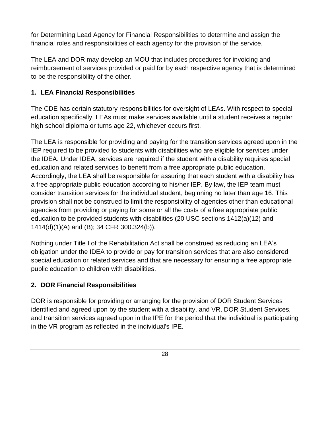for Determining Lead Agency for Financial Responsibilities to determine and assign the financial roles and responsibilities of each agency for the provision of the service.

The LEA and DOR may develop an MOU that includes procedures for invoicing and reimbursement of services provided or paid for by each respective agency that is determined to be the responsibility of the other.

#### <span id="page-27-0"></span>**1. LEA Financial Responsibilities**

The CDE has certain statutory responsibilities for oversight of LEAs. With respect to special education specifically, LEAs must make services available until a student receives a regular high school diploma or turns age 22, whichever occurs first.

The LEA is responsible for providing and paying for the transition services agreed upon in the IEP required to be provided to students with disabilities who are eligible for services under the IDEA. Under IDEA, services are required if the student with a disability requires special education and related services to benefit from a free appropriate public education. Accordingly, the LEA shall be responsible for assuring that each student with a disability has a free appropriate public education according to his/her IEP. By law, the IEP team must consider transition services for the individual student, beginning no later than age 16. This provision shall not be construed to limit the responsibility of agencies other than educational agencies from providing or paying for some or all the costs of a free appropriate public education to be provided students with disabilities (20 USC sections 1412(a)(12) and 1414(d)(1)(A) and (B); 34 CFR 300.324(b)).

Nothing under Title I of the Rehabilitation Act shall be construed as reducing an LEA's obligation under the IDEA to provide or pay for transition services that are also considered special education or related services and that are necessary for ensuring a free appropriate public education to children with disabilities.

### <span id="page-27-1"></span>**2. DOR Financial Responsibilities**

DOR is responsible for providing or arranging for the provision of DOR Student Services identified and agreed upon by the student with a disability, and VR, DOR Student Services, and transition services agreed upon in the IPE for the period that the individual is participating in the VR program as reflected in the individual's IPE.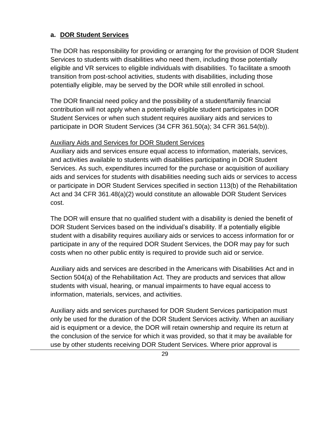#### **a. DOR Student Services**

The DOR has responsibility for providing or arranging for the provision of DOR Student Services to students with disabilities who need them, including those potentially eligible and VR services to eligible individuals with disabilities. To facilitate a smooth transition from post-school activities, students with disabilities, including those potentially eligible, may be served by the DOR while still enrolled in school.

The DOR financial need policy and the possibility of a student/family financial contribution will not apply when a potentially eligible student participates in DOR Student Services or when such student requires auxiliary aids and services to participate in DOR Student Services (34 CFR 361.50(a); 34 CFR 361.54(b)).

#### Auxiliary Aids and Services for DOR Student Services

Auxiliary aids and services ensure equal access to information, materials, services, and activities available to students with disabilities participating in DOR Student Services. As such, expenditures incurred for the purchase or acquisition of auxiliary aids and services for students with disabilities needing such aids or services to access or participate in DOR Student Services specified in section 113(b) of the Rehabilitation Act and 34 CFR 361.48(a)(2) would constitute an allowable DOR Student Services cost.

The DOR will ensure that no qualified student with a disability is denied the benefit of DOR Student Services based on the individual's disability. If a potentially eligible student with a disability requires auxiliary aids or services to access information for or participate in any of the required DOR Student Services, the DOR may pay for such costs when no other public entity is required to provide such aid or service.

Auxiliary aids and services are described in the Americans with Disabilities Act and in Section 504(a) of the Rehabilitation Act. They are products and services that allow students with visual, hearing, or manual impairments to have equal access to information, materials, services, and activities.

Auxiliary aids and services purchased for DOR Student Services participation must only be used for the duration of the DOR Student Services activity. When an auxiliary aid is equipment or a device, the DOR will retain ownership and require its return at the conclusion of the service for which it was provided, so that it may be available for use by other students receiving DOR Student Services. Where prior approval is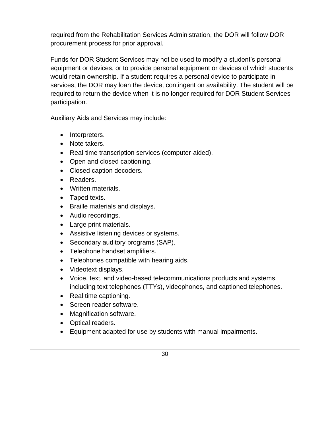required from the Rehabilitation Services Administration, the DOR will follow DOR procurement process for prior approval.

Funds for DOR Student Services may not be used to modify a student's personal equipment or devices, or to provide personal equipment or devices of which students would retain ownership. If a student requires a personal device to participate in services, the DOR may loan the device, contingent on availability. The student will be required to return the device when it is no longer required for DOR Student Services participation.

Auxiliary Aids and Services may include:

- Interpreters.
- Note takers.
- Real-time transcription services (computer-aided).
- Open and closed captioning.
- Closed caption decoders.
- Readers.
- Written materials.
- Taped texts.
- Braille materials and displays.
- Audio recordings.
- Large print materials.
- Assistive listening devices or systems.
- Secondary auditory programs (SAP).
- Telephone handset amplifiers.
- Telephones compatible with hearing aids.
- Videotext displays.
- Voice, text, and video-based telecommunications products and systems, including text telephones (TTYs), videophones, and captioned telephones.
- Real time captioning.
- Screen reader software.
- Magnification software.
- Optical readers.
- Equipment adapted for use by students with manual impairments.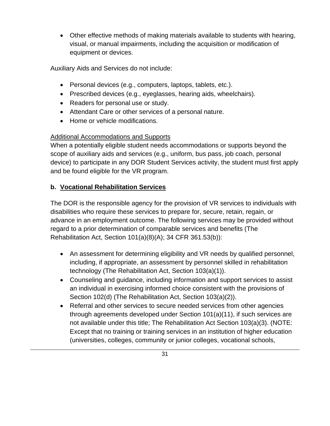• Other effective methods of making materials available to students with hearing, visual, or manual impairments, including the acquisition or modification of equipment or devices.

Auxiliary Aids and Services do not include:

- Personal devices (e.g., computers, laptops, tablets, etc.).
- Prescribed devices (e.g., eyeglasses, hearing aids, wheelchairs).
- Readers for personal use or study.
- Attendant Care or other services of a personal nature.
- Home or vehicle modifications.

#### Additional Accommodations and Supports

When a potentially eligible student needs accommodations or supports beyond the scope of auxiliary aids and services (e.g., uniform, bus pass, job coach, personal device) to participate in any DOR Student Services activity, the student must first apply and be found eligible for the VR program.

#### **b. Vocational Rehabilitation Services**

The DOR is the responsible agency for the provision of VR services to individuals with disabilities who require these services to prepare for, secure, retain, regain, or advance in an employment outcome. The following services may be provided without regard to a prior determination of comparable services and benefits (The Rehabilitation Act, Section 101(a)(8)(A); 34 CFR 361.53(b)):

- An assessment for determining eligibility and VR needs by qualified personnel, including, if appropriate, an assessment by personnel skilled in rehabilitation technology (The Rehabilitation Act, Section 103(a)(1)).
- Counseling and guidance, including information and support services to assist an individual in exercising informed choice consistent with the provisions of Section 102(d) (The Rehabilitation Act, Section 103(a)(2)).
- Referral and other services to secure needed services from other agencies through agreements developed under Section 101(a)(11), if such services are not available under this title; The Rehabilitation Act Section 103(a)(3). (NOTE: Except that no training or training services in an institution of higher education (universities, colleges, community or junior colleges, vocational schools,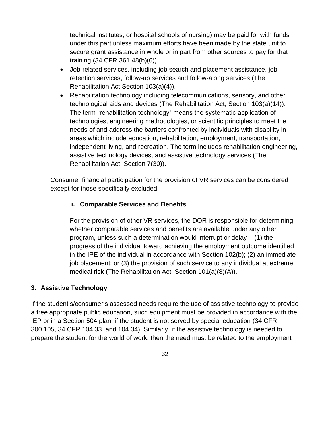technical institutes, or hospital schools of nursing) may be paid for with funds under this part unless maximum efforts have been made by the state unit to secure grant assistance in whole or in part from other sources to pay for that training (34 CFR 361.48(b)(6)).

- Job-related services, including job search and placement assistance, job retention services, follow-up services and follow-along services (The Rehabilitation Act Section 103(a)(4)).
- Rehabilitation technology including telecommunications, sensory, and other technological aids and devices (The Rehabilitation Act, Section 103(a)(14)). The term "rehabilitation technology" means the systematic application of technologies, engineering methodologies, or scientific principles to meet the needs of and address the barriers confronted by individuals with disability in areas which include education, rehabilitation, employment, transportation, independent living, and recreation. The term includes rehabilitation engineering, assistive technology devices, and assistive technology services (The Rehabilitation Act, Section 7(30)).

Consumer financial participation for the provision of VR services can be considered except for those specifically excluded.

#### **i. Comparable Services and Benefits**

For the provision of other VR services, the DOR is responsible for determining whether comparable services and benefits are available under any other program, unless such a determination would interrupt or delay  $-$  (1) the progress of the individual toward achieving the employment outcome identified in the IPE of the individual in accordance with Section 102(b); (2) an immediate job placement; or (3) the provision of such service to any individual at extreme medical risk (The Rehabilitation Act, Section 101(a)(8)(A)).

#### <span id="page-31-0"></span>**3. Assistive Technology**

If the student's/consumer's assessed needs require the use of assistive technology to provide a free appropriate public education, such equipment must be provided in accordance with the IEP or in a Section 504 plan, if the student is not served by special education (34 CFR 300.105, 34 CFR 104.33, and 104.34). Similarly, if the assistive technology is needed to prepare the student for the world of work, then the need must be related to the employment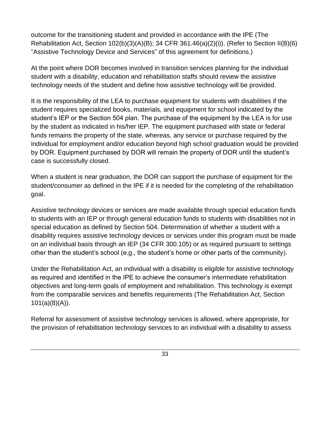outcome for the transitioning student and provided in accordance with the IPE (The Rehabilitation Act, Section  $102(b)(3)(A)(B)$ ; 34 CFR  $361.46(a)(2)(i)$ ). (Refer to Section II(B)(6) "Assistive Technology Device and Services" of this agreement for definitions.)

At the point where DOR becomes involved in transition services planning for the individual student with a disability, education and rehabilitation staffs should review the assistive technology needs of the student and define how assistive technology will be provided.

It is the responsibility of the LEA to purchase equipment for students with disabilities if the student requires specialized books, materials, and equipment for school indicated by the student's IEP or the Section 504 plan. The purchase of the equipment by the LEA is for use by the student as indicated in his/her IEP. The equipment purchased with state or federal funds remains the property of the state, whereas, any service or purchase required by the individual for employment and/or education beyond high school graduation would be provided by DOR. Equipment purchased by DOR will remain the property of DOR until the student's case is successfully closed.

When a student is near graduation, the DOR can support the purchase of equipment for the student/consumer as defined in the IPE if it is needed for the completing of the rehabilitation goal.

Assistive technology devices or services are made available through special education funds to students with an IEP or through general education funds to students with disabilities not in special education as defined by Section 504. Determination of whether a student with a disability requires assistive technology devices or services under this program must be made on an individual basis through an IEP (34 CFR 300.105) or as required pursuant to settings other than the student's school (e.g., the student's home or other parts of the community).

Under the Rehabilitation Act, an individual with a disability is eligible for assistive technology as required and identified in the IPE to achieve the consumer's intermediate rehabilitation objectives and long-term goals of employment and rehabilitation. This technology is exempt from the comparable services and benefits requirements (The Rehabilitation Act, Section 101(a)(8)(A)).

Referral for assessment of assistive technology services is allowed, where appropriate, for the provision of rehabilitation technology services to an individual with a disability to assess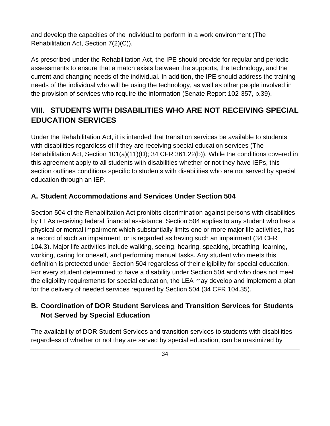<span id="page-33-1"></span>and develop the capacities of the individual to perform in a work environment (The Rehabilitation Act, Section 7(2)(C)).

As prescribed under the Rehabilitation Act, the IPE should provide for regular and periodic assessments to ensure that a match exists between the supports, the technology, and the current and changing needs of the individual. In addition, the IPE should address the training needs of the individual who will be using the technology, as well as other people involved in the provision of services who require the information (Senate Report 102-357, p.39).

### **VIII. STUDENTS WITH DISABILITIES WHO ARE NOT RECEIVING SPECIAL EDUCATION SERVICES**

Under the Rehabilitation Act, it is intended that transition services be available to students with disabilities regardless of if they are receiving special education services (The Rehabilitation Act, Section 101(a)(11)(D); 34 CFR 361.22(b)). While the conditions covered in this agreement apply to all students with disabilities whether or not they have IEPs, this section outlines conditions specific to students with disabilities who are not served by special education through an IEP.

#### <span id="page-33-0"></span>**A. Student Accommodations and Services Under Section 504**

Section 504 of the Rehabilitation Act prohibits discrimination against persons with disabilities by LEAs receiving federal financial assistance. Section 504 applies to any student who has a physical or mental impairment which substantially limits one or more major life activities, has a record of such an impairment, or is regarded as having such an impairment (34 CFR 104.3). Major life activities include walking, seeing, hearing, speaking, breathing, learning, working, caring for oneself, and performing manual tasks. Any student who meets this definition is protected under Section 504 regardless of their eligibility for special education. For every student determined to have a disability under Section 504 and who does not meet the eligibility requirements for special education, the LEA may develop and implement a plan for the delivery of needed services required by Section 504 (34 CFR 104.35).

### **B. Coordination of DOR Student Services and Transition Services for Students Not Served by Special Education**

The availability of DOR Student Services and transition services to students with disabilities regardless of whether or not they are served by special education, can be maximized by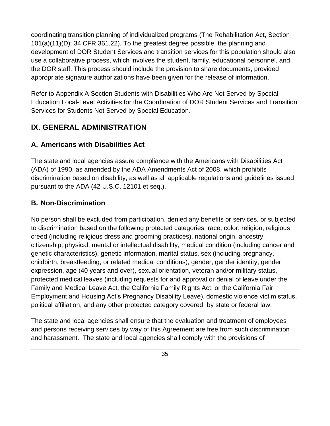coordinating transition planning of individualized programs (The Rehabilitation Act, Section 101(a)(11)(D); 34 CFR 361.22). To the greatest degree possible, the planning and development of DOR Student Services and transition services for this population should also use a collaborative process, which involves the student, family, educational personnel, and the DOR staff. This process should include the provision to share documents, provided appropriate signature authorizations have been given for the release of information.

Refer to Appendix A Section Students with Disabilities Who Are Not Served by Special Education Local-Level Activities for the Coordination of DOR Student Services and Transition Services for Students Not Served by Special Education.

### <span id="page-34-0"></span>**IX. GENERAL ADMINISTRATION**

### <span id="page-34-1"></span>**A. Americans with Disabilities Act**

The state and local agencies assure compliance with the Americans with Disabilities Act (ADA) of 1990, as amended by the ADA Amendments Act of 2008, which prohibits discrimination based on disability, as well as all applicable regulations and guidelines issued pursuant to the ADA (42 U.S.C. 12101 et seq.).

### <span id="page-34-2"></span>**B. Non-Discrimination**

No person shall be excluded from participation, denied any benefits or services, or subjected to discrimination based on the following protected categories: race, color, religion, religious creed (including religious dress and grooming practices), national origin, ancestry, citizenship, physical, mental or intellectual disability, medical condition (including cancer and genetic characteristics), genetic information, marital status, sex (including pregnancy, childbirth, breastfeeding, or related medical conditions), gender, gender identity, gender expression, age (40 years and over), sexual orientation, veteran and/or military status, protected medical leaves (including requests for and approval or denial of leave under the Family and Medical Leave Act, the California Family Rights Act, or the California Fair Employment and Housing Act's Pregnancy Disability Leave), domestic violence victim status, political affiliation, and any other protected category covered by state or federal law.

The state and local agencies shall ensure that the evaluation and treatment of employees and persons receiving services by way of this Agreement are free from such discrimination and harassment. The state and local agencies shall comply with the provisions of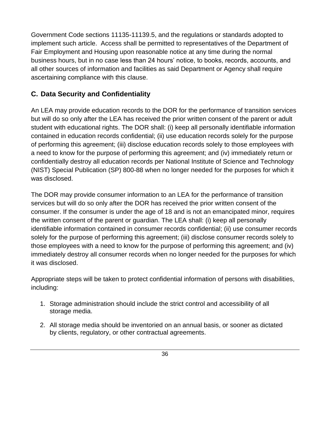Government Code sections 11135-11139.5, and the regulations or standards adopted to implement such article. Access shall be permitted to representatives of the Department of Fair Employment and Housing upon reasonable notice at any time during the normal business hours, but in no case less than 24 hours' notice, to books, records, accounts, and all other sources of information and facilities as said Department or Agency shall require ascertaining compliance with this clause.

### <span id="page-35-0"></span>**C. Data Security and Confidentiality**

An LEA may provide education records to the DOR for the performance of transition services but will do so only after the LEA has received the prior written consent of the parent or adult student with educational rights. The DOR shall: (i) keep all personally identifiable information contained in education records confidential; (ii) use education records solely for the purpose of performing this agreement; (iii) disclose education records solely to those employees with a need to know for the purpose of performing this agreement; and (iv) immediately return or confidentially destroy all education records per National Institute of Science and Technology (NIST) Special Publication (SP) 800-88 when no longer needed for the purposes for which it was disclosed.

The DOR may provide consumer information to an LEA for the performance of transition services but will do so only after the DOR has received the prior written consent of the consumer. If the consumer is under the age of 18 and is not an emancipated minor, requires the written consent of the parent or guardian. The LEA shall: (i) keep all personally identifiable information contained in consumer records confidential; (ii) use consumer records solely for the purpose of performing this agreement; (iii) disclose consumer records solely to those employees with a need to know for the purpose of performing this agreement; and (iv) immediately destroy all consumer records when no longer needed for the purposes for which it was disclosed.

Appropriate steps will be taken to protect confidential information of persons with disabilities, including:

- 1. Storage administration should include the strict control and accessibility of all storage media.
- 2. All storage media should be inventoried on an annual basis, or sooner as dictated by clients, regulatory, or other contractual agreements.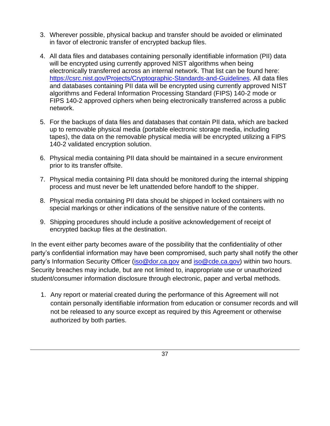- 3. Wherever possible, physical backup and transfer should be avoided or eliminated in favor of electronic transfer of encrypted backup files.
- 4. All data files and databases containing personally identifiable information (PII) data will be encrypted using currently approved NIST algorithms when being electronically transferred across an internal network. That list can be found here: [https://csrc.nist.gov/Projects/Cryptographic-Standards-and-Guidelines.](https://csrc.nist.gov/Projects/Cryptographic-Standards-and-Guidelines) All data files and databases containing PII data will be encrypted using currently approved NIST algorithms and Federal Information Processing Standard (FIPS) 140-2 mode or FIPS 140-2 approved ciphers when being electronically transferred across a public network.
- 5. For the backups of data files and databases that contain PII data, which are backed up to removable physical media (portable electronic storage media, including tapes), the data on the removable physical media will be encrypted utilizing a FIPS 140-2 validated encryption solution.
- 6. Physical media containing PII data should be maintained in a secure environment prior to its transfer offsite.
- 7. Physical media containing PII data should be monitored during the internal shipping process and must never be left unattended before handoff to the shipper.
- 8. Physical media containing PII data should be shipped in locked containers with no special markings or other indications of the sensitive nature of the contents.
- 9. Shipping procedures should include a positive acknowledgement of receipt of encrypted backup files at the destination.

In the event either party becomes aware of the possibility that the confidentiality of other party's confidential information may have been compromised, such party shall notify the other party's Information Security Officer [\(iso@dor.ca.gov](mailto:iso@dor.ca.gov) and [iso@cde.ca.gov\)](mailto:iso@cde.ca.gov) within two hours. Security breaches may include, but are not limited to, inappropriate use or unauthorized student/consumer information disclosure through electronic, paper and verbal methods.

1. Any report or material created during the performance of this Agreement will not contain personally identifiable information from education or consumer records and will not be released to any source except as required by this Agreement or otherwise authorized by both parties.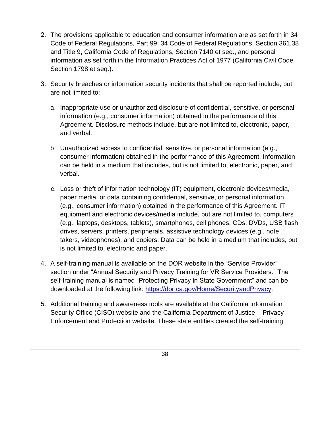- 2. The provisions applicable to education and consumer information are as set forth in 34 Code of Federal Regulations, Part 99; 34 Code of Federal Regulations, Section 361.38 and Title 9, California Code of Regulations, Section 7140 et seq., and personal information as set forth in the Information Practices Act of 1977 (California Civil Code Section 1798 et seq.).
- 3. Security breaches or information security incidents that shall be reported include, but are not limited to:
	- a. Inappropriate use or unauthorized disclosure of confidential, sensitive, or personal information (e.g., consumer information) obtained in the performance of this Agreement. Disclosure methods include, but are not limited to, electronic, paper, and verbal.
	- b. Unauthorized access to confidential, sensitive, or personal information (e.g., consumer information) obtained in the performance of this Agreement. Information can be held in a medium that includes, but is not limited to, electronic, paper, and verbal.
	- c. Loss or theft of information technology (IT) equipment, electronic devices/media, paper media, or data containing confidential, sensitive, or personal information (e.g., consumer information) obtained in the performance of this Agreement. IT equipment and electronic devices/media include, but are not limited to, computers (e.g., laptops, desktops, tablets), smartphones, cell phones, CDs, DVDs, USB flash drives, servers, printers, peripherals, assistive technology devices (e.g., note takers, videophones), and copiers. Data can be held in a medium that includes, but is not limited to, electronic and paper.
- 4. A self-training manual is available on the DOR website in the "Service Provider" section under "Annual Security and Privacy Training for VR Service Providers." The self-training manual is named "Protecting Privacy in State Government" and can be downloaded at the following link: <https://dor.ca.gov/Home/SecurityandPrivacy>.
- 5. Additional training and awareness tools are available at the California Information Security Office (CISO) website and the California Department of Justice – Privacy Enforcement and Protection website. These state entities created the self-training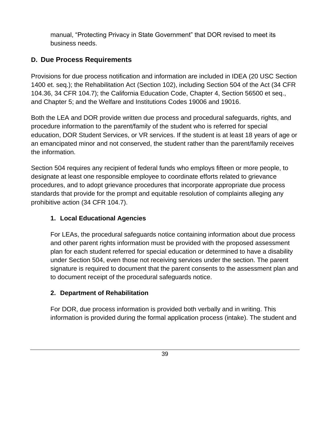manual, "Protecting Privacy in State Government" that DOR revised to meet its business needs.

### <span id="page-38-0"></span>**D. Due Process Requirements**

Provisions for due process notification and information are included in IDEA (20 USC Section 1400 et. seq.); the Rehabilitation Act (Section 102), including Section 504 of the Act (34 CFR 104.36, 34 CFR 104.7); the California Education Code, Chapter 4, Section 56500 et seq., and Chapter 5; and the Welfare and Institutions Codes 19006 and 19016.

Both the LEA and DOR provide written due process and procedural safeguards, rights, and procedure information to the parent/family of the student who is referred for special education, DOR Student Services, or VR services. If the student is at least 18 years of age or an emancipated minor and not conserved, the student rather than the parent/family receives the information.

Section 504 requires any recipient of federal funds who employs fifteen or more people, to designate at least one responsible employee to coordinate efforts related to grievance procedures, and to adopt grievance procedures that incorporate appropriate due process standards that provide for the prompt and equitable resolution of complaints alleging any prohibitive action (34 CFR 104.7).

#### <span id="page-38-1"></span>**1. Local Educational Agencies**

For LEAs, the procedural safeguards notice containing information about due process and other parent rights information must be provided with the proposed assessment plan for each student referred for special education or determined to have a disability under Section 504, even those not receiving services under the section. The parent signature is required to document that the parent consents to the assessment plan and to document receipt of the procedural safeguards notice.

#### <span id="page-38-2"></span>**2. Department of Rehabilitation**

For DOR, due process information is provided both verbally and in writing. This information is provided during the formal application process (intake). The student and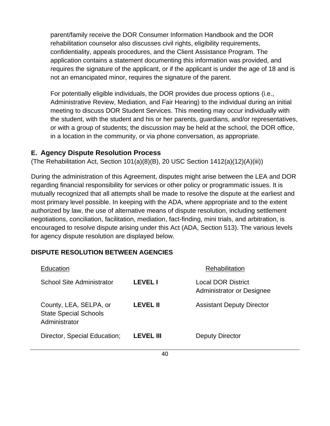parent/family receive the DOR Consumer Information Handbook and the DOR rehabilitation counselor also discusses civil rights, eligibility requirements, confidentiality, appeals procedures, and the Client Assistance Program. The application contains a statement documenting this information was provided, and requires the signature of the applicant, or if the applicant is under the age of 18 and is not an emancipated minor, requires the signature of the parent.

For potentially eligible individuals, the DOR provides due process options (i.e., Administrative Review, Mediation, and Fair Hearing) to the individual during an initial meeting to discuss DOR Student Services. This meeting may occur individually with the student, with the student and his or her parents, guardians, and/or representatives, or with a group of students; the discussion may be held at the school, the DOR office, in a location in the community, or via phone conversation, as appropriate.

#### <span id="page-39-0"></span>**E. Agency Dispute Resolution Process**

(The Rehabilitation Act, Section 101(a)(8)(B), 20 USC Section 1412(a)(12)(A)(iii))

During the administration of this Agreement, disputes might arise between the LEA and DOR regarding financial responsibility for services or other policy or programmatic issues. It is mutually recognized that all attempts shall be made to resolve the dispute at the earliest and most primary level possible. In keeping with the ADA, where appropriate and to the extent authorized by law, the use of alternative means of dispute resolution, including settlement negotiations, conciliation, facilitation, mediation, fact-finding, mini trials, and arbitration, is encouraged to resolve dispute arising under this Act (ADA, Section 513). The various levels for agency dispute resolution are displayed below.

#### **DISPUTE RESOLUTION BETWEEN AGENCIES**

| Education                                                               |                  | Rehabilitation                                         |
|-------------------------------------------------------------------------|------------------|--------------------------------------------------------|
| <b>School Site Administrator</b>                                        | <b>LEVEL I</b>   | Local DOR District<br><b>Administrator or Designee</b> |
| County, LEA, SELPA, or<br><b>State Special Schools</b><br>Administrator | LEVEL II         | <b>Assistant Deputy Director</b>                       |
| Director, Special Education;                                            | <b>LEVEL III</b> | Deputy Director                                        |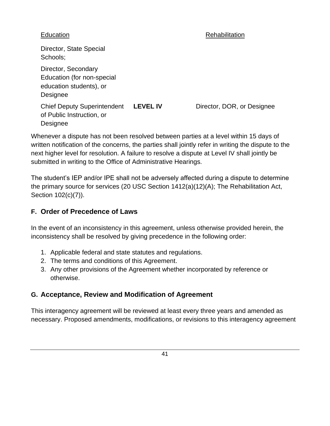#### Education **Exercise Education Rehabilitation**

Director, State Special Schools; Director, Secondary Education (for non-special education students), or Designee Chief Deputy Superintendent of Public Instruction, or Designee **LEVEL IV** Director, DOR, or Designee

Whenever a dispute has not been resolved between parties at a level within 15 days of written notification of the concerns, the parties shall jointly refer in writing the dispute to the next higher level for resolution. A failure to resolve a dispute at Level IV shall jointly be submitted in writing to the Office of Administrative Hearings.

The student's IEP and/or IPE shall not be adversely affected during a dispute to determine the primary source for services (20 USC Section 1412(a)(12)(A); The Rehabilitation Act, Section 102(c)(7)).

#### <span id="page-40-0"></span>**F. Order of Precedence of Laws**

In the event of an inconsistency in this agreement, unless otherwise provided herein, the inconsistency shall be resolved by giving precedence in the following order:

- 1. Applicable federal and state statutes and regulations.
- 2. The terms and conditions of this Agreement.
- 3. Any other provisions of the Agreement whether incorporated by reference or otherwise.

#### <span id="page-40-1"></span>**G. Acceptance, Review and Modification of Agreement**

This interagency agreement will be reviewed at least every three years and amended as necessary. Proposed amendments, modifications, or revisions to this interagency agreement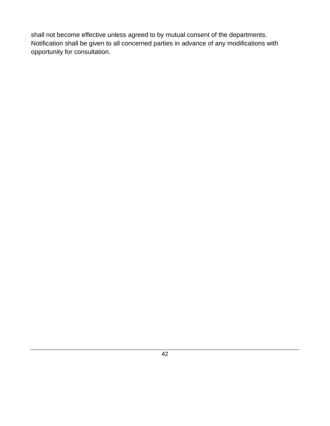shall not become effective unless agreed to by mutual consent of the departments. Notification shall be given to all concerned parties in advance of any modifications with opportunity for consultation.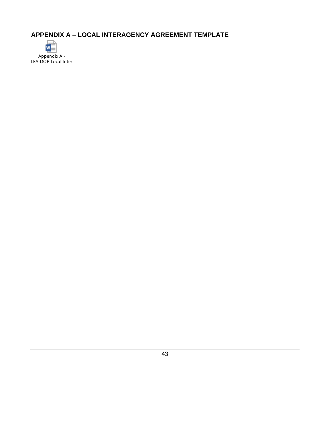<span id="page-42-0"></span>**APPENDIX A – LOCAL INTERAGENCY AGREEMENT TEMPLATE**



Appendix A - LEA-DOR Local Interagency Agreement Template.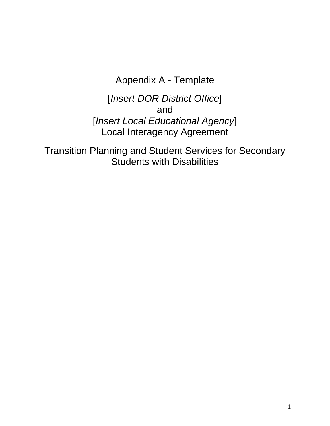Appendix A - Template

[*Insert DOR District Office*] and [*Insert Local Educational Agency*] Local Interagency Agreement

Transition Planning and Student Services for Secondary Students with Disabilities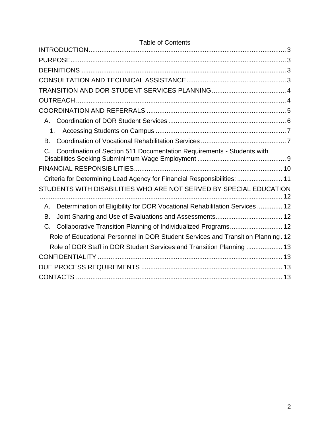| <b>Table of Contents</b>                                                               |  |  |  |
|----------------------------------------------------------------------------------------|--|--|--|
|                                                                                        |  |  |  |
|                                                                                        |  |  |  |
|                                                                                        |  |  |  |
|                                                                                        |  |  |  |
|                                                                                        |  |  |  |
|                                                                                        |  |  |  |
|                                                                                        |  |  |  |
| $A_{-}$                                                                                |  |  |  |
| 1.                                                                                     |  |  |  |
| Β.                                                                                     |  |  |  |
| Coordination of Section 511 Documentation Requirements - Students with<br>$\mathsf{C}$ |  |  |  |
|                                                                                        |  |  |  |
| Criteria for Determining Lead Agency for Financial Responsibilities:  11               |  |  |  |
| STUDENTS WITH DISABILITIES WHO ARE NOT SERVED BY SPECIAL EDUCATION                     |  |  |  |
| Determination of Eligibility for DOR Vocational Rehabilitation Services  12<br>Α.      |  |  |  |
| Β.                                                                                     |  |  |  |
| Collaborative Transition Planning of Individualized Programs 12<br>C.                  |  |  |  |
| Role of Educational Personnel in DOR Student Services and Transition Planning. 12      |  |  |  |
| Role of DOR Staff in DOR Student Services and Transition Planning  13                  |  |  |  |
|                                                                                        |  |  |  |
|                                                                                        |  |  |  |
|                                                                                        |  |  |  |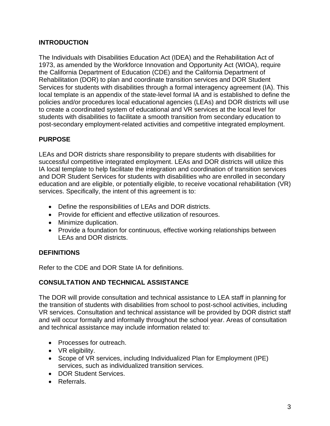#### <span id="page-45-0"></span>**INTRODUCTION**

The Individuals with Disabilities Education Act (IDEA) and the Rehabilitation Act of 1973, as amended by the Workforce Innovation and Opportunity Act (WIOA), require the California Department of Education (CDE) and the California Department of Rehabilitation (DOR) to plan and coordinate transition services and DOR Student Services for students with disabilities through a formal interagency agreement (IA). This local template is an appendix of the state-level formal IA and is established to define the policies and/or procedures local educational agencies (LEAs) and DOR districts will use to create a coordinated system of educational and VR services at the local level for students with disabilities to facilitate a smooth transition from secondary education to post-secondary employment-related activities and competitive integrated employment.

#### <span id="page-45-1"></span>**PURPOSE**

LEAs and DOR districts share responsibility to prepare students with disabilities for successful competitive integrated employment. LEAs and DOR districts will utilize this IA local template to help facilitate the integration and coordination of transition services and DOR Student Services for students with disabilities who are enrolled in secondary education and are eligible, or potentially eligible, to receive vocational rehabilitation (VR) services. Specifically, the intent of this agreement is to:

- Define the responsibilities of LEAs and DOR districts.
- Provide for efficient and effective utilization of resources.
- Minimize duplication.
- Provide a foundation for continuous, effective working relationships between LEAs and DOR districts.

#### <span id="page-45-2"></span>**DEFINITIONS**

Refer to the CDE and DOR State IA for definitions.

#### <span id="page-45-3"></span>**CONSULTATION AND TECHNICAL ASSISTANCE**

The DOR will provide consultation and technical assistance to LEA staff in planning for the transition of students with disabilities from school to post-school activities, including VR services. Consultation and technical assistance will be provided by DOR district staff and will occur formally and informally throughout the school year. Areas of consultation and technical assistance may include information related to:

- Processes for outreach.
- VR eligibility.
- Scope of VR services, including Individualized Plan for Employment (IPE) services, such as individualized transition services.
- DOR Student Services.
- Referrals.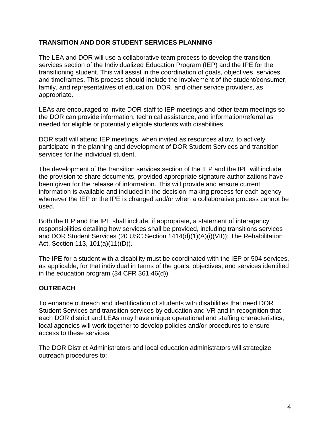#### <span id="page-46-0"></span>**TRANSITION AND DOR STUDENT SERVICES PLANNING**

The LEA and DOR will use a collaborative team process to develop the transition services section of the Individualized Education Program (IEP) and the IPE for the transitioning student. This will assist in the coordination of goals, objectives, services and timeframes. This process should include the involvement of the student/consumer, family, and representatives of education, DOR, and other service providers, as appropriate.

LEAs are encouraged to invite DOR staff to IEP meetings and other team meetings so the DOR can provide information, technical assistance, and information/referral as needed for eligible or potentially eligible students with disabilities.

DOR staff will attend IEP meetings, when invited as resources allow, to actively participate in the planning and development of DOR Student Services and transition services for the individual student.

The development of the transition services section of the IEP and the IPE will include the provision to share documents, provided appropriate signature authorizations have been given for the release of information. This will provide and ensure current information is available and included in the decision-making process for each agency whenever the IEP or the IPE is changed and/or when a collaborative process cannot be used.

Both the IEP and the IPE shall include, if appropriate, a statement of interagency responsibilities detailing how services shall be provided, including transitions services and DOR Student Services (20 USC Section 1414(d)(1)(A)(i)(VII)); The Rehabilitation Act, Section 113, 101(a)(11)(D)).

The IPE for a student with a disability must be coordinated with the IEP or 504 services, as applicable, for that individual in terms of the goals, objectives, and services identified in the education program (34 CFR 361.46(d)).

#### <span id="page-46-1"></span>**OUTREACH**

To enhance outreach and identification of students with disabilities that need DOR Student Services and transition services by education and VR and in recognition that each DOR district and LEAs may have unique operational and staffing characteristics, local agencies will work together to develop policies and/or procedures to ensure access to these services.

The DOR District Administrators and local education administrators will strategize outreach procedures to: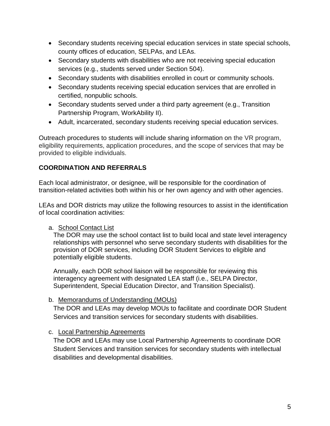- Secondary students receiving special education services in state special schools, county offices of education, SELPAs, and LEAs.
- Secondary students with disabilities who are not receiving special education services (e.g., students served under Section 504).
- Secondary students with disabilities enrolled in court or community schools.
- Secondary students receiving special education services that are enrolled in certified, nonpublic schools.
- Secondary students served under a third party agreement (e.g., Transition Partnership Program, WorkAbility II).
- Adult, incarcerated, secondary students receiving special education services.

Outreach procedures to students will include sharing information on the VR program, eligibility requirements, application procedures, and the scope of services that may be provided to eligible individuals.

#### <span id="page-47-0"></span>**COORDINATION AND REFERRALS**

Each local administrator, or designee, will be responsible for the coordination of transition-related activities both within his or her own agency and with other agencies.

LEAs and DOR districts may utilize the following resources to assist in the identification of local coordination activities:

#### a. School Contact List

The DOR may use the school contact list to build local and state level interagency relationships with personnel who serve secondary students with disabilities for the provision of DOR services, including DOR Student Services to eligible and potentially eligible students.

Annually, each DOR school liaison will be responsible for reviewing this interagency agreement with designated LEA staff (i.e., SELPA Director, Superintendent, Special Education Director, and Transition Specialist).

#### b. Memorandums of Understanding (MOUs)

The DOR and LEAs may develop MOUs to facilitate and coordinate DOR Student Services and transition services for secondary students with disabilities.

#### c. Local Partnership Agreements

The DOR and LEAs may use Local Partnership Agreements to coordinate DOR Student Services and transition services for secondary students with intellectual disabilities and developmental disabilities.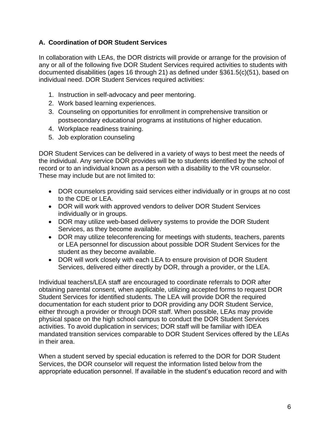#### <span id="page-48-0"></span>**A. Coordination of DOR Student Services**

In collaboration with LEAs, the DOR districts will provide or arrange for the provision of any or all of the following five DOR Student Services required activities to students with documented disabilities (ages 16 through 21) as defined under §361.5(c)(51), based on individual need. DOR Student Services required activities:

- 1. Instruction in self-advocacy and peer mentoring.
- 2. Work based learning experiences.
- 3. Counseling on opportunities for enrollment in comprehensive transition or postsecondary educational programs at institutions of higher education.
- 4. Workplace readiness training.
- 5. Job exploration counseling

DOR Student Services can be delivered in a variety of ways to best meet the needs of the individual. Any service DOR provides will be to students identified by the school of record or to an individual known as a person with a disability to the VR counselor. These may include but are not limited to:

- DOR counselors providing said services either individually or in groups at no cost to the CDE or LEA.
- DOR will work with approved vendors to deliver DOR Student Services individually or in groups.
- DOR may utilize web-based delivery systems to provide the DOR Student Services, as they become available.
- DOR may utilize teleconferencing for meetings with students, teachers, parents or LEA personnel for discussion about possible DOR Student Services for the student as they become available.
- DOR will work closely with each LEA to ensure provision of DOR Student Services, delivered either directly by DOR, through a provider, or the LEA.

Individual teachers/LEA staff are encouraged to coordinate referrals to DOR after obtaining parental consent, when applicable, utilizing accepted forms to request DOR Student Services for identified students. The LEA will provide DOR the required documentation for each student prior to DOR providing any DOR Student Service, either through a provider or through DOR staff. When possible, LEAs may provide physical space on the high school campus to conduct the DOR Student Services activities. To avoid duplication in services; DOR staff will be familiar with IDEA mandated transition services comparable to DOR Student Services offered by the LEAs in their area.

When a student served by special education is referred to the DOR for DOR Student Services, the DOR counselor will request the information listed below from the appropriate education personnel. If available in the student's education record and with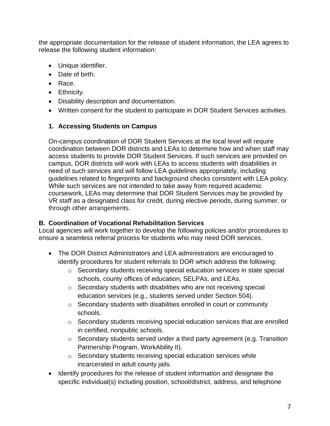the appropriate documentation for the release of student information, the LEA agrees to release the following student information:

- Unique identifier.
- Date of birth.
- Race.
- Ethnicity.
- Disability description and documentation.
- Written consent for the student to participate in DOR Student Services activities.

### <span id="page-49-0"></span>**1. Accessing Students on Campus**

On-campus coordination of DOR Student Services at the local level will require coordination between DOR districts and LEAs to determine how and when staff may access students to provide DOR Student Services. If such services are provided on campus, DOR districts will work with LEAs to access students with disabilities in need of such services and will follow LEA guidelines appropriately, including guidelines related to fingerprints and background checks consistent with LEA policy. While such services are not intended to take away from required academic coursework, LEAs may determine that DOR Student Services may be provided by VR staff as a designated class for credit, during elective periods, during summer, or through other arrangements.

#### <span id="page-49-1"></span>**B. Coordination of Vocational Rehabilitation Services**

Local agencies will work together to develop the following policies and/or procedures to ensure a seamless referral process for students who may need DOR services.

- The DOR District Administrators and LEA administrators are encouraged to identify procedures for student referrals to DOR which address the following:
	- $\circ$  Secondary students receiving special education services in state special schools, county offices of education, SELPAs, and LEAs.
	- o Secondary students with disabilities who are not receiving special education services (e.g., students served under Section 504).
	- o Secondary students with disabilities enrolled in court or community schools.
	- o Secondary students receiving special education services that are enrolled in certified, nonpublic schools.
	- o Secondary students served under a third party agreement (e.g. Transition Partnership Program, WorkAbility II).
	- o Secondary students receiving special education services while incarcerated in adult county jails.
- Identify procedures for the release of student information and designate the specific individual(s) including position, school/district, address, and telephone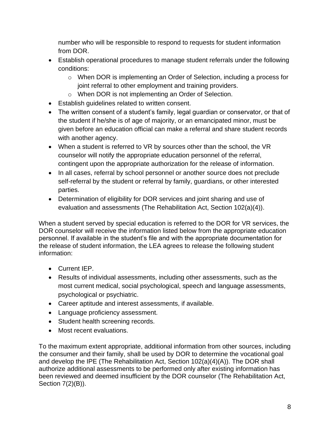number who will be responsible to respond to requests for student information from DOR.

- Establish operational procedures to manage student referrals under the following conditions:
	- o When DOR is implementing an Order of Selection, including a process for joint referral to other employment and training providers.
	- o When DOR is not implementing an Order of Selection.
- Establish guidelines related to written consent.
- The written consent of a student's family, legal guardian or conservator, or that of the student if he/she is of age of majority, or an emancipated minor, must be given before an education official can make a referral and share student records with another agency.
- When a student is referred to VR by sources other than the school, the VR counselor will notify the appropriate education personnel of the referral, contingent upon the appropriate authorization for the release of information.
- In all cases, referral by school personnel or another source does not preclude self-referral by the student or referral by family, guardians, or other interested parties.
- Determination of eligibility for DOR services and joint sharing and use of evaluation and assessments (The Rehabilitation Act, Section 102(a)(4)).

When a student served by special education is referred to the DOR for VR services, the DOR counselor will receive the information listed below from the appropriate education personnel. If available in the student's file and with the appropriate documentation for the release of student information, the LEA agrees to release the following student information:

- Current IEP.
- Results of individual assessments, including other assessments, such as the most current medical, social psychological, speech and language assessments, psychological or psychiatric.
- Career aptitude and interest assessments, if available.
- Language proficiency assessment.
- Student health screening records.
- Most recent evaluations.

To the maximum extent appropriate, additional information from other sources, including the consumer and their family, shall be used by DOR to determine the vocational goal and develop the IPE (The Rehabilitation Act, Section 102(a)(4)(A)). The DOR shall authorize additional assessments to be performed only after existing information has been reviewed and deemed insufficient by the DOR counselor (The Rehabilitation Act, Section 7(2)(B)).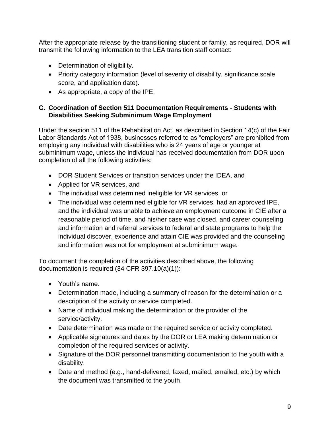<span id="page-51-0"></span>After the appropriate release by the transitioning student or family, as required, DOR will transmit the following information to the LEA transition staff contact:

- Determination of eligibility.
- Priority category information (level of severity of disability, significance scale score, and application date).
- As appropriate, a copy of the IPE.

#### **C. Coordination of Section 511 Documentation Requirements - Students with Disabilities Seeking Subminimum Wage Employment**

Under the section 511 of the Rehabilitation Act, as described in Section 14(c) of the Fair Labor Standards Act of 1938, businesses referred to as "employers" are prohibited from employing any individual with disabilities who is 24 years of age or younger at subminimum wage, unless the individual has received documentation from DOR upon completion of all the following activities:

- DOR Student Services or transition services under the IDEA, and
- Applied for VR services, and
- The individual was determined ineligible for VR services, or
- The individual was determined eligible for VR services, had an approved IPE, and the individual was unable to achieve an employment outcome in CIE after a reasonable period of time, and his/her case was closed, and career counseling and information and referral services to federal and state programs to help the individual discover, experience and attain CIE was provided and the counseling and information was not for employment at subminimum wage.

To document the completion of the activities described above, the following documentation is required (34 CFR 397.10(a)(1)):

- Youth's name.
- Determination made, including a summary of reason for the determination or a description of the activity or service completed.
- Name of individual making the determination or the provider of the service/activity.
- Date determination was made or the required service or activity completed.
- Applicable signatures and dates by the DOR or LEA making determination or completion of the required services or activity.
- Signature of the DOR personnel transmitting documentation to the youth with a disability.
- Date and method (e.g., hand-delivered, faxed, mailed, emailed, etc.) by which the document was transmitted to the youth.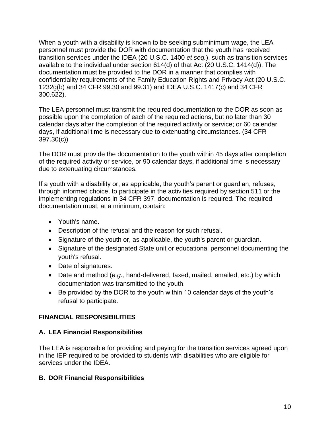When a youth with a disability is known to be seeking subminimum wage, the LEA personnel must provide the DOR with documentation that the youth has received transition services under the IDEA (20 U.S.C. 1400 *et seq.*), such as transition services available to the individual under section 614(d) of that Act (20 U.S.C. 1414(d)). The documentation must be provided to the DOR in a manner that complies with confidentiality requirements of the Family Education Rights and Privacy Act (20 U.S.C. 1232g(b) and 34 CFR 99.30 and 99.31) and IDEA U.S.C. 1417(c) and 34 CFR 300.622).

The LEA personnel must transmit the required documentation to the DOR as soon as possible upon the completion of each of the required actions, but no later than 30 calendar days after the completion of the required activity or service; or 60 calendar days, if additional time is necessary due to extenuating circumstances. (34 CFR 397.30(c))

The DOR must provide the documentation to the youth within 45 days after completion of the required activity or service, or 90 calendar days, if additional time is necessary due to extenuating circumstances.

If a youth with a disability or, as applicable, the youth's parent or guardian, refuses, through informed choice, to participate in the activities required by section 511 or the implementing regulations in 34 CFR 397, documentation is required. The required documentation must, at a minimum, contain:

- Youth's name.
- Description of the refusal and the reason for such refusal.
- Signature of the youth or, as applicable, the youth's parent or guardian.
- Signature of the designated State unit or educational personnel documenting the youth's refusal.
- Date of signatures.
- Date and method (*e.g.,* hand-delivered, faxed, mailed, emailed, etc.) by which documentation was transmitted to the youth.
- Be provided by the DOR to the youth within 10 calendar days of the youth's refusal to participate.

#### <span id="page-52-0"></span>**FINANCIAL RESPONSIBILITIES**

#### **A. LEA Financial Responsibilities**

The LEA is responsible for providing and paying for the transition services agreed upon in the IEP required to be provided to students with disabilities who are eligible for services under the IDEA.

#### **B. DOR Financial Responsibilities**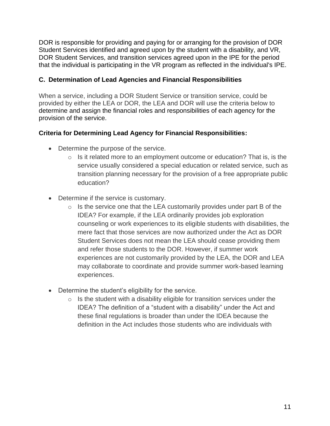DOR is responsible for providing and paying for or arranging for the provision of DOR Student Services identified and agreed upon by the student with a disability, and VR, DOR Student Services, and transition services agreed upon in the IPE for the period that the individual is participating in the VR program as reflected in the individual's IPE.

#### **C. Determination of Lead Agencies and Financial Responsibilities**

When a service, including a DOR Student Service or transition service, could be provided by either the LEA or DOR, the LEA and DOR will use the criteria below to determine and assign the financial roles and responsibilities of each agency for the provision of the service.

#### <span id="page-53-0"></span>**Criteria for Determining Lead Agency for Financial Responsibilities:**

- Determine the purpose of the service.
	- $\circ$  Is it related more to an employment outcome or education? That is, is the service usually considered a special education or related service, such as transition planning necessary for the provision of a free appropriate public education?
- Determine if the service is customary.
	- $\circ$  Is the service one that the LEA customarily provides under part B of the IDEA? For example, if the LEA ordinarily provides job exploration counseling or work experiences to its eligible students with disabilities, the mere fact that those services are now authorized under the Act as DOR Student Services does not mean the LEA should cease providing them and refer those students to the DOR. However, if summer work experiences are not customarily provided by the LEA, the DOR and LEA may collaborate to coordinate and provide summer work-based learning experiences.
- Determine the student's eligibility for the service.
	- $\circ$  Is the student with a disability eligible for transition services under the IDEA? The definition of a "student with a disability" under the Act and these final regulations is broader than under the IDEA because the definition in the Act includes those students who are individuals with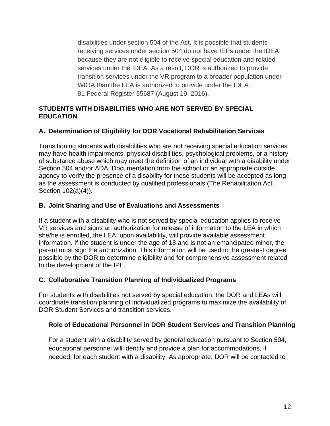<span id="page-54-4"></span>disabilities under section 504 of the Act. It is possible that students receiving services under section 504 do not have IEPs under the IDEA because they are not eligible to receive special education and related services under the IDEA. As a result, DOR is authorized to provide transition services under the VR program to a broader population under WIOA than the LEA is authorized to provide under the IDEA. 81 Federal Register 55687 (August 19, 2016).

#### **STUDENTS WITH DISABILITIES WHO ARE NOT SERVED BY SPECIAL EDUCATION**

#### <span id="page-54-0"></span>**A. Determination of Eligibility for DOR Vocational Rehabilitation Services**

Transitioning students with disabilities who are not receiving special education services may have health impairments, physical disabilities, psychological problems, or a history of substance abuse which may meet the definition of an individual with a disability under Section 504 and/or ADA. Documentation from the school or an appropriate outside agency to verify the presence of a disability for these students will be accepted as long as the assessment is conducted by qualified professionals (The Rehabilitation Act, Section 102(a)(4)).

#### <span id="page-54-1"></span>**B. Joint Sharing and Use of Evaluations and Assessments**

If a student with a disability who is not served by special education applies to receive VR services and signs an authorization for release of information to the LEA in which she/he is enrolled, the LEA, upon availability, will provide available assessment information. If the student is under the age of 18 and is not an emancipated minor, the parent must sign the authorization. This information will be used to the greatest degree possible by the DOR to determine eligibility and for comprehensive assessment related to the development of the IPE.

#### <span id="page-54-2"></span>**C. Collaborative Transition Planning of Individualized Programs**

For students with disabilities not served by special education, the DOR and LEAs will coordinate transition planning of individualized programs to maximize the availability of DOR Student Services and transition services.

#### <span id="page-54-3"></span>**Role of Educational Personnel in DOR Student Services and Transition Planning**

For a student with a disability served by general education pursuant to Section 504, educational personnel will identify and provide a plan for accommodations, if needed, for each student with a disability. As appropriate, DOR will be contacted to